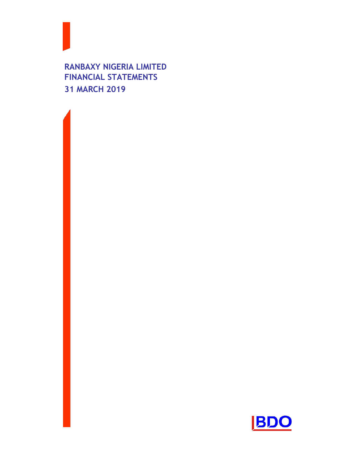**RANBAXY NIGERIA LIMITED FINANCIAL STATEMENTS 31 MARCH 2019**

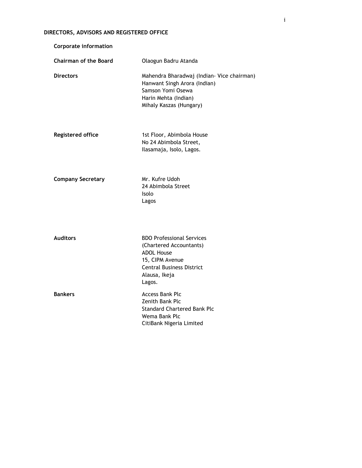## **DIRECTORS, ADVISORS AND REGISTERED OFFICE**

| <b>Corporate information</b> |                                                                                                                                                                    |
|------------------------------|--------------------------------------------------------------------------------------------------------------------------------------------------------------------|
| <b>Chairman of the Board</b> | Olaogun Badru Atanda                                                                                                                                               |
| <b>Directors</b>             | Mahendra Bharadwaj (Indian- Vice chairman)<br>Hanwant Singh Arora (Indian)<br>Samson Yomi Osewa<br>Harin Mehta (Indian)<br>Mihaly Kaszas (Hungary)                 |
| <b>Registered office</b>     | 1st Floor, Abimbola House<br>No 24 Abimbola Street,<br>Ilasamaja, Isolo, Lagos.                                                                                    |
| <b>Company Secretary</b>     | Mr. Kufre Udoh<br>24 Abimbola Street<br>Isolo<br>Lagos                                                                                                             |
| <b>Auditors</b>              | <b>BDO Professional Services</b><br>(Chartered Accountants)<br><b>ADOL House</b><br>15, CIPM Avenue<br><b>Central Business District</b><br>Alausa, Ikeja<br>Lagos. |
| <b>Bankers</b>               | <b>Access Bank Plc</b><br>Zenith Bank Plc<br><b>Standard Chartered Bank Plc</b><br>Wema Bank Plc<br>CitiBank Nigeria Limited                                       |
|                              |                                                                                                                                                                    |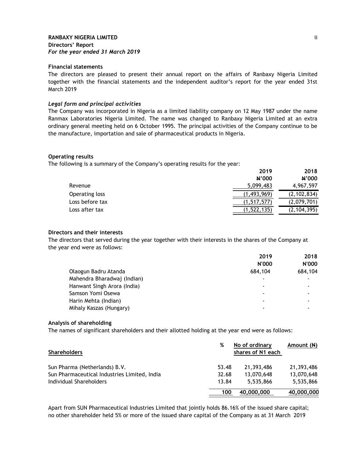### **RANBAXY NIGERIA LIMITED** ii **Directors' Report** *For the year ended 31 March 2019*

#### **Financial statements**

The directors are pleased to present their annual report on the affairs of Ranbaxy Nigeria Limited together with the financial statements and the independent auditor's report for the year ended 31st March 2019

#### *Legal form and principal activities*

The Company was incorporated in Nigeria as a limited liability company on 12 May 1987 under the name Ranmax Laboratories Nigeria Limited. The name was changed to Ranbaxy Nigeria Limited at an extra ordinary general meeting held on 6 October 1995. The principal activities of the Company continue to be the manufacture, importation and sale of pharmaceutical products in Nigeria.

### **Operating results**

The following is a summary of the Company's operating results for the year:

|                 | 2019          | 2018          |
|-----------------|---------------|---------------|
|                 | N'000         | N'000         |
| Revenue         | 5,099,483     | 4,967,597     |
| Operating loss  | (1.493.969)   | (2, 102, 834) |
| Loss before tax | (1, 517, 577) | (2,079,701)   |
| Loss after tax  | 1,522,135     | (2, 104, 395) |

#### **Directors and their interests**

The directors that served during the year together with their interests in the shares of the Company at the year end were as follows:

|                             | 2019                     | 2018    |
|-----------------------------|--------------------------|---------|
|                             | N'000                    | N'000   |
| Olaogun Badru Atanda        | 684,104                  | 684,104 |
| Mahendra Bharadwaj (Indian) | ٠                        |         |
| Hanwant Singh Arora (India) | $\overline{\phantom{a}}$ |         |
| Samson Yomi Osewa           | $\overline{\phantom{a}}$ |         |
| Harin Mehta (Indian)        | ٠                        |         |
| Mihaly Kaszas (Hungary)     |                          |         |
|                             |                          |         |

#### **Analysis of shareholding**

The names of significant shareholders and their allotted holding at the year end were as follows:

| <b>Shareholders</b>                          | %     | No of ordinary<br>shares of N1 each | Amount (N) |
|----------------------------------------------|-------|-------------------------------------|------------|
| Sun Pharma (Netherlands) B.V.                | 53.48 | 21,393,486                          | 21,393,486 |
| Sun Pharmaceutical Industries Limited, India | 32.68 | 13,070,648                          | 13,070,648 |
| Individual Shareholders                      | 13.84 | 5.535.866                           | 5,535,866  |
|                                              | 100   | 40,000,000                          | 40,000,000 |

Apart from SUN Pharmaceutical Industries Limited that jointly holds 86.16% of the issued share capital; no other shareholder held 5% or more of the issued share capital of the Company as at 31 March 2019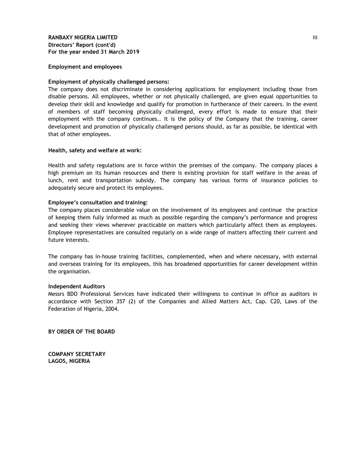## **RANBAXY NIGERIA LIMITED** iii **Directors' Report (cont'd) For the year ended 31 March 2019**

#### **Employment and employees**

### **Employment of physically challenged persons:**

The company does not discriminate in considering applications for employment including those from disable persons. All employees, whether or not physically challenged, are given equal opportunities to develop their skill and knowledge and qualify for promotion in furtherance of their careers. In the event of members of staff becoming physically challenged, every effort is made to ensure that their employment with the company continues.. It is the policy of the Company that the training, career development and promotion of physically challenged persons should, as far as possible, be identical with that of other employees.

#### **Health, safety and welfare at work:**

Health and safety regulations are in force within the premises of the company. The company places a high premium on its human resources and there is existing provision for staff welfare in the areas of lunch, rent and transportation subsidy. The company has various forms of insurance policies to adequately secure and protect its employees.

#### **Employee's consultation and training:**

The company places considerable value on the involvement of its employees and continue the practice of keeping them fully informed as much as possible regarding the company's performance and progress and seeking their views wherever practicable on matters which particularly affect them as employees. Employee representatives are consulted regularly on a wide range of matters affecting their current and future interests.

The company has in-house training facilities, complemented, when and where necessary, with external and overseas training for its employees, this has broadened opportunities for career development within the organisation.

#### **Independent Auditors**

Messrs BDO Professional Services have indicated their willingness to continue in office as auditors in accordance with Section 357 (2) of the Companies and Allied Matters Act, Cap. C20, Laws of the Federation of Nigeria, 2004.

**BY ORDER OF THE BOARD**

**COMPANY SECRETARY LAGOS, NIGERIA**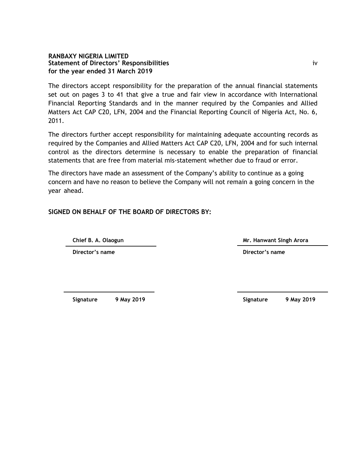## **RANBAXY NIGERIA LIMITED Statement of Directors' Responsibilities** iv **for the year ended 31 March 2019**

The directors accept responsibility for the preparation of the annual financial statements set out on pages 3 to 41 that give a true and fair view in accordance with International Financial Reporting Standards and in the manner required by the Companies and Allied Matters Act CAP C20, LFN, 2004 and the Financial Reporting Council of Nigeria Act, No. 6, 2011.

The directors further accept responsibility for maintaining adequate accounting records as required by the Companies and Allied Matters Act CAP C20, LFN, 2004 and for such internal control as the directors determine is necessary to enable the preparation of financial statements that are free from material mis-statement whether due to fraud or error.

The directors have made an assessment of the Company's ability to continue as a going concern and have no reason to believe the Company will not remain a going concern in the year ahead.

## **SIGNED ON BEHALF OF THE BOARD OF DIRECTORS BY:**

**Director's name Director's name**

**Chief B. A. Olaogun Mr. Hanwant Singh Arora**

**Signature 9 May 2019 Signature 9 May 2019**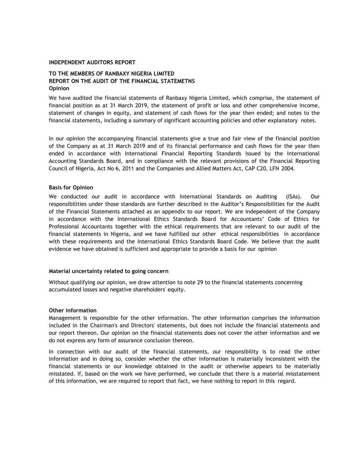#### **INDEPENDENT AUDITORS REPORT**

### **TO THE MEMBERS OF RANBAXY NIGERIA LIMITED REPORT ON THE AUDIT OF THE FINANCIAL STATEMETNS Opinion**

We have audited the financial statements of Ranbaxy Nigeria Limited, which comprise, the statement of financial position as at 31 March 2019, the statement of profit or loss and other comprehensive income, statement of changes in equity, and statement of cash flows for the year then ended; and notes to the financial statements, including a summary of significant accounting policies and other explanatory notes.

In our opinion the accompanying financial statements give a true and fair view of the financial position of the Company as at 31 March 2019 and of its financial performance and cash flows for the year then ended in accordance with International Financial Reporting Standards issued by the International Accounting Standards Board, and in compliance with the relevant provisions of the Financial Reporting Council of Nigeria, Act No 6, 2011 and the Companies and Allied Matters Act, CAP C20, LFN 2004.

#### **Basis for Opinion**

We conducted our audit in accordance with International Standards on Auditing (ISAs). Our responsibilities under those standards are further described in the Auditor's Responsibilities for the Audit of the Financial Statements attached as an appendix to our report. We are independent of the Company in accordance with the International Ethics Standards Board for Accountants' Code of Ethics for Professional Accountants together with the ethical requirements that are relevant to our audit of the financial statements in Nigeria, and we have fulfilled our other ethical responsibilities in accordance with these requirements and the International Ethics Standards Board Code. We believe that the audit evidence we have obtained is sufficient and appropriate to provide a basis for our opinion

#### **Material uncertainty related to going concern**

Without qualifying our opinion, we draw attention to note 29 to the financial statements concerning accumulated losses and negative shareholders' equity.

#### **Other information**

Management is responsible for the other information. The other information comprises the information included in the Chairman's and Directors' statements, but does not include the financial statements and our report thereon. Our opinion on the financial statements does not cover the other information and we do not express any form of assurance conclusion thereon.

In connection with our audit of the financial statements, our responsibility is to read the other information and in doing so, consider whether the other information is materially inconsistent with the financial statements or our knowledge obtained in the audit or otherwise appears to be materially misstated. If, based on the work we have performed, we conclude that there is a material misstatement of this information, we are required to report that fact, we have nothing to report in this regard.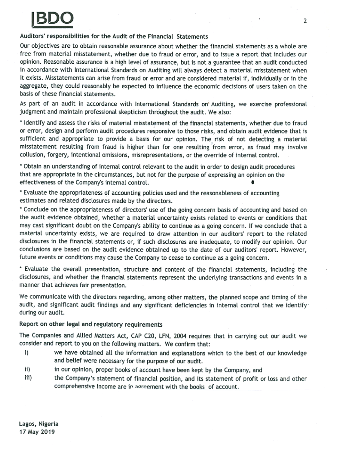## Auditors' responsibilities for the Audit of the Financial Statements

Our objectives are to obtain reasonable assurance about whether the financial statements as a whole are free from material misstatement, whether due to fraud or error, and to issue a report that includes our opinion. Reasonable assurance is a high level of assurance, but is not a guarantee that an audit conducted in accordance with International Standards on Auditing will always detect a material misstatement when it exists. Misstatements can arise from fraud or error and are considered material if, individually or in the aggregate, they could reasonably be expected to influence the economic decisions of users taken on the basis of these financial statements.

As part of an audit in accordance with International Standards on Auditing, we exercise professional **Chartered Accountants**

\* Identify and assess the risks of material misstatement of the financial statements, whether due to fraud or error, design and perform audit procedures responsive to those risks, and obtain audit evidence that is sufficient and appropriate to provide a basis for our opinion. The risk of not detecting a material misstatement resulting from fraud is higher than for one resulting from error, as fraud may involve collusion, forgery, intentional omissions, misrepresentations, or the override of internal control.

\* Obtain an understanding of internal control relevant to the audit in order to design audit procedures that are appropriate in the circumstances, but not for the purpose of expressing an opinion on the effectiveness of the Company's internal control.

\* Evaluate the appropriateness of accounting policies used and the reasonableness of accounting estimates and related disclosures made by the directors.

\* Conclude on the appropriateness of directors' use of the going concern basis of accounting and based on the audit evidence obtained, whether a material uncertainty exists related to events or conditions that may cast significant doubt on the Company's ability to continue as a going concern. If we conclude that a material uncertainty exists, we are required to draw attention in our auditors' report to the related disclosures in the financial statements or, if such disclosures are inadequate, to modify our opinion. Our conclusions are based on the audit evidence obtained up to the date of our auditors' report. However, future events or conditions may cause the Company to cease to continue as a going concern.

\* Evaluate the overall presentation, structure and content of the financial statements, including the disclosures, and whether the financial statements represent the underlying transactions and events in a manner that achieves fair presentation.

We communicate with the directors regarding, among other matters, the planned scope and timing of the audit, and significant audit findings and any significant deficiencies in internal control that we identify during our audit.

## Report on other legal and regulatory requirements

The Companies and Allied Matters Act, CAP C20, LFN, 2004 requires that in carrying out our audit we consider and report to you on the following matters. We confirm that:

- i) we have obtained all the information and explanations which to the best of our knowledge and belief were necessary for the purpose of our audit.
- ii) in our opinion, proper books of account have been kept by the Company, and
- iii) the Company's statement of financial position, and its statement of profit or loss and other comprehensive income are in agreement with the books of account.

Lagos, Nigeria 17 May 2019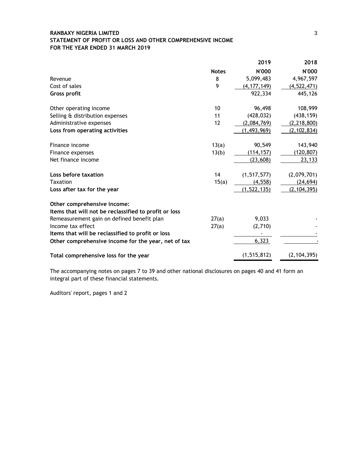## **RANBAXY NIGERIA LIMITED** 3 **STATEMENT OF PROFIT OR LOSS AND OTHER COMPREHENSIVE INCOME FOR THE YEAR ENDED 31 MARCH 2019**

|                                                       |              | 2019          | 2018          |
|-------------------------------------------------------|--------------|---------------|---------------|
|                                                       | <b>Notes</b> | N'000         | N'000         |
| Revenue                                               | 8            | 5,099,483     | 4,967,597     |
| Cost of sales                                         | 9            | (4, 177, 149) | (4,522,471)   |
| <b>Gross profit</b>                                   |              | 922,334       | 445,126       |
| Other operating income                                | 10           | 96,498        | 108,999       |
| Selling & distribution expenses                       | 11           | (428, 032)    | (438, 159)    |
| Administrative expenses                               | 12           | (2,084,769)   | (2, 218, 800) |
| Loss from operating activities                        |              | (1, 493, 969) | (2, 102, 834) |
| Finance income                                        | 13(a)        | 90,549        | 143,940       |
| Finance expenses                                      | 13(b)        | (114, 157)    | (120, 807)    |
| Net finance income                                    |              | (23, 608)     | 23,133        |
| Loss before taxation                                  | 14           | (1, 517, 577) | (2,079,701)   |
| <b>Taxation</b>                                       | 15(a)        | (4, 558)      | (24, 694)     |
| Loss after tax for the year                           |              | (1, 522, 135) | (2, 104, 395) |
| Other comprehensive income:                           |              |               |               |
| Items that will not be reclassified to profit or loss |              |               |               |
| Remeasurement gain on defined benefit plan            | 27(a)        | 9,033         |               |
| Income tax effect                                     | 27(a)        | (2,710)       |               |
| Items that will be reclassified to profit or loss     |              |               |               |
| Other comprehensive income for the year, net of tax   |              | 6,323         |               |
| Total comprehensive loss for the year                 |              | (1, 515, 812) | (2, 104, 395) |

The accompanying notes on pages 7 to 39 and other national disclosures on pages 40 and 41 form an integral part of these financial statements.

Auditors' report, pages 1 and 2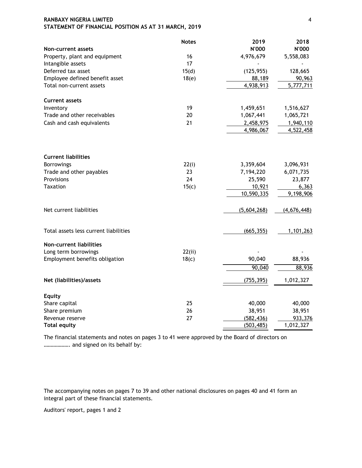| <b>Non-current assets</b>                              | <b>Notes</b> | 2019<br>N'000       | 2018<br>N'000       |
|--------------------------------------------------------|--------------|---------------------|---------------------|
| Property, plant and equipment                          | 16           | 4,976,679           | 5,558,083           |
| Intangible assets                                      | 17           |                     |                     |
| Deferred tax asset                                     | 15(d)        | (125, 955)          | 128,665             |
| Employee defined benefit asset                         | 18(e)        | 88,189              | 90,963              |
| Total non-current assets                               |              | 4,938,913           | 5,777,711           |
| <b>Current assets</b>                                  |              |                     |                     |
| Inventory                                              | 19           | 1,459,651           | 1,516,627           |
| Trade and other receivables                            | 20           | 1,067,441           | 1,065,721           |
| Cash and cash equivalents                              | 21           | 2,458,975           | 1,940,110           |
|                                                        |              | 4,986,067           | 4,522,458           |
|                                                        |              |                     |                     |
| <b>Current liabilities</b>                             |              |                     |                     |
| Borrowings                                             | 22(i)        | 3,359,604           | 3,096,931           |
| Trade and other payables<br>Provisions                 | 23<br>24     | 7,194,220<br>25,590 | 6,071,735<br>23,877 |
| <b>Taxation</b>                                        | 15(c)        | 10,921              | 6,363               |
|                                                        |              | 10,590,335          | 9,198,906           |
| Net current liabilities                                |              | (5,604,268)         | (4,676,448)         |
| Total assets less current liabilities                  |              | (665, 355)          | 1,101,263           |
|                                                        |              |                     |                     |
| <b>Non-current liabilities</b><br>Long term borrowings | 22(ii)       |                     |                     |
| Employment benefits obligation                         | 18(c)        | 90,040              | 88,936              |
|                                                        |              | 90,040              | 88,936              |
| Net (liabilities)/assets                               |              | (755, 395)          | 1,012,327           |
| <b>Equity</b>                                          |              |                     |                     |
| Share capital                                          | 25           | 40,000              | 40,000              |
| Share premium                                          | 26           | 38,951              | 38,951              |
| Revenue reserve                                        | 27           | (582, 436)          | 933,376             |
| <b>Total equity</b>                                    |              | (503, 485)          | 1,012,327           |

The financial statements and notes on pages 3 to 41 were approved by the Board of directors on ………………. and signed on its behalf by:

The accompanying notes on pages 7 to 39 and other national disclosures on pages 40 and 41 form an integral part of these financial statements.

Auditors' report, pages 1 and 2

## **RANBAXY NIGERIA LIMITED** 4 **STATEMENT OF FINANCIAL POSITION AS AT 31 MARCH, 2019**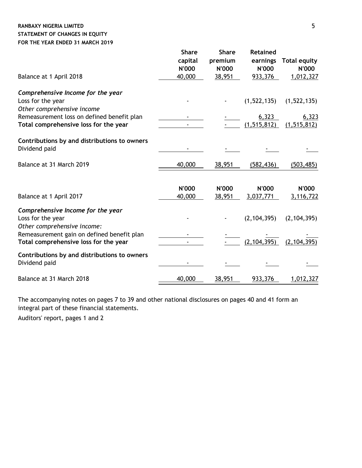## **RANBAXY NIGERIA LIMITED** 5 **STATEMENT OF CHANGES IN EQUITY FOR THE YEAR ENDED 31 MARCH 2019**

|                                              | <b>Share</b> | <b>Share</b> | <b>Retained</b> |                     |
|----------------------------------------------|--------------|--------------|-----------------|---------------------|
|                                              | capital      | premium      | earnings        | <b>Total equity</b> |
|                                              | <b>N'000</b> | <b>N'000</b> | <b>N'000</b>    | N'000               |
| Balance at 1 April 2018                      | 40,000       | 38,951       | 933,376         | 1,012,327           |
| Comprehensive Income for the year            |              |              |                 |                     |
| Loss for the year                            |              |              | (1, 522, 135)   | (1, 522, 135)       |
| Other comprehensive income                   |              |              |                 |                     |
| Remeasurement loss on defined benefit plan   |              |              | 6,323           | 6,323               |
| Total comprehensive loss for the year        |              |              | (1, 515, 812)   | (1, 515, 812)       |
| Contributions by and distributions to owners |              |              |                 |                     |
| Dividend paid                                |              |              |                 |                     |
| Balance at 31 March 2019                     | 40,000       | 38,951       | (582, 436)      | (503, 485)          |
|                                              |              |              |                 |                     |
|                                              | <b>N'000</b> | <b>N'000</b> | <b>N'000</b>    | N'000               |
| Balance at 1 April 2017                      | 40,000       | 38,951       | 3,037,771       | 3,116,722           |
| Comprehensive Income for the year            |              |              |                 |                     |
| Loss for the year                            |              |              | (2, 104, 395)   | (2, 104, 395)       |
| Other comprehensive income:                  |              |              |                 |                     |
| Remeasurement gain on defined benefit plan   |              |              |                 |                     |
| Total comprehensive loss for the year        |              |              | (2, 104, 395)   | (2, 104, 395)       |
| Contributions by and distributions to owners |              |              |                 |                     |
| Dividend paid                                |              |              |                 |                     |
| Balance at 31 March 2018                     | 40,000       | 38,951       | 933,376         | 1,012,327           |

The accompanying notes on pages 7 to 39 and other national disclosures on pages 40 and 41 form an integral part of these financial statements.

Auditors' report, pages 1 and 2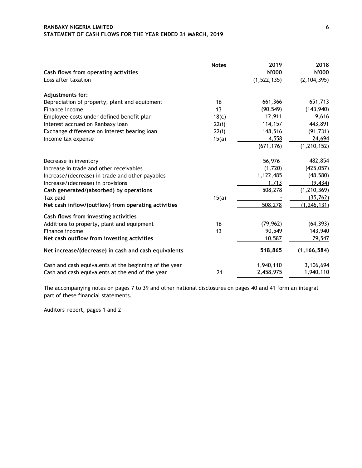## **RANBAXY NIGERIA LIMITED** 6 **STATEMENT OF CASH FLOWS FOR THE YEAR ENDED 31 MARCH, 2019**

|                                                        | <b>Notes</b> | 2019          | 2018          |
|--------------------------------------------------------|--------------|---------------|---------------|
| Cash flows from operating activities                   |              | N'000         | N'000         |
| Loss after taxation                                    |              | (1, 522, 135) | (2, 104, 395) |
| Adjustments for:                                       |              |               |               |
| Depreciation of property, plant and equipment          | 16           | 661,366       | 651,713       |
| Finance income                                         | 13           | (90, 549)     | (143, 940)    |
| Employee costs under defined benefit plan              | 18(c)        | 12,911        | 9,616         |
| Interest accrued on Ranbaxy loan                       | 22(i)        | 114,157       | 443,891       |
| Exchange difference on interest bearing loan           | 22(i)        | 148,516       | (91, 731)     |
| Income tax expense                                     | 15(a)        | 4,558         | 24,694        |
|                                                        |              | (671, 176)    | (1, 210, 152) |
| Decrease in inventory                                  |              | 56,976        | 482,854       |
| Increase in trade and other receivables                |              | (1,720)       | (425, 057)    |
| Increase/(decrease) in trade and other payables        |              | 1,122,485     | (48, 580)     |
| Increase/(decrease) in provisions                      |              | 1,713         | (9, 434)      |
| Cash generated/(absorbed) by operations                |              | 508,278       | (1, 210, 369) |
| Tax paid                                               | 15(a)        |               | (35, 762)     |
| Net cash inflow/(outflow) from operating activities    |              | 508,278       | (1, 246, 131) |
| Cash flows from investing activities                   |              |               |               |
| Additions to property, plant and equipment             | 16           | (79, 962)     | (64, 393)     |
| Finance income                                         | 13           | 90,549        | 143,940       |
| Net cash outflow from investing activities             |              | 10,587        | 79,547        |
| Net increase/(decrease) in cash and cash equivalents   |              | 518,865       | (1, 166, 584) |
| Cash and cash equivalents at the beginning of the year |              | 1,940,110     | 3,106,694     |
| Cash and cash equivalents at the end of the year       | 21           | 2,458,975     | 1,940,110     |

The accompanying notes on pages 7 to 39 and other national disclosures on pages 40 and 41 form an integral part of these financial statements.

Auditors' report, pages 1 and 2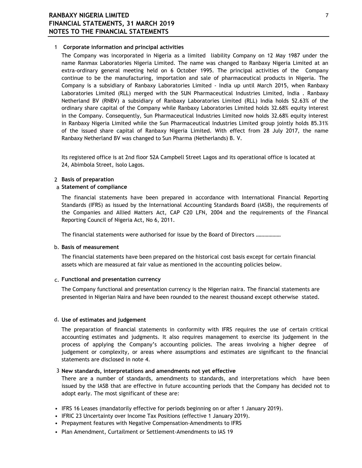### 1 **Corporate information and principal activities**

The Company was incorporated in Nigeria as a limited liability Company on 12 May 1987 under the name Ranmax Laboratories Nigeria Limited. The name was changed to Ranbaxy Nigeria Limited at an extra-ordinary general meeting held on 6 October 1995. The principal activities of the Company continue to be the manufacturing, importation and sale of pharmaceutical products in Nigeria. The Company is a subsidiary of Ranbaxy Laboratories Limited - India up until March 2015, when Ranbaxy Laboratories Limited (RLL) merged with the SUN Pharmaceutical Industries Limited, India . Ranbaxy Netherland BV (RNBV) a subsidiary of Ranbaxy Laboratories Limited (RLL) India holds 52.63% of the ordinary share capital of the Company while Ranbaxy Laboratories Limited holds 32.68% equity interest in the Company. Consequently, Sun Pharmaceutical Industries Limited now holds 32.68% equity interest in Ranbaxy Nigeria Limited while the Sun Pharmaceutical Industries Limited group jointly holds 85.31% of the issued share capital of Ranbaxy Nigeria Limited. With effect from 28 July 2017, the name Ranbaxy Netherland BV was changed to Sun Pharma (Netherlands) B. V.

Its registered office is at 2nd floor 52A Campbell Street Lagos and its operational office is located at 24, Abimbola Street, Isolo Lagos.

### 2 **Basis of preparation**

### a **Statement of compliance**

The financial statements have been prepared in accordance with International Financial Reporting Standards (IFRS) as issued by the International Accounting Standards Board (IASB), the requirements of the Companies and Allied Matters Act, CAP C20 LFN, 2004 and the requirements of the Financal Reporting Council of Nigeria Act, No 6, 2011.

The financial statements were authorised for issue by the Board of Directors ………………

#### b. **Basis of measurement**

The financial statements have been prepared on the historical cost basis except for certain financial assets which are measured at fair value as mentioned in the accounting policies below.

#### c. **Functional and presentation currency**

The Company functional and presentation currency is the Nigerian naira. The financial statements are presented in Nigerian Naira and have been rounded to the nearest thousand except otherwise stated.

#### d. **Use of estimates and judgement**

The preparation of financial statements in conformity with IFRS requires the use of certain critical accounting estimates and judgments. It also requires management to exercise its judgement in the process of applying the Company's accounting policies. The areas involving a higher degree judgement or complexity, or areas where assumptions and estimates are significant to the financial statements are disclosed in note 4.

#### 3 **New standards, interpretations and amendments not yet effective**

There are a number of standards, amendments to standards, and interpretations which have been issued by the IASB that are effective in future accounting periods that the Company has decided not to adopt early. The most significant of these are:

- IFRS 16 Leases (mandatorily effective for periods beginning on or after 1 January 2019).
- IFRIC 23 Uncertainty over Income Tax Positions (effective 1 January 2019).
- Prepayment features with Negative Compensation-Amendments to IFRS
- Plan Amendment, Curtailment or Settlement-Amendments to IAS 19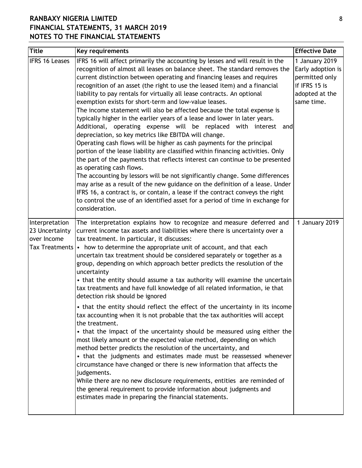# **RANBAXY NIGERIA LIMITED** 8 **FINANCIAL STATEMENTS, 31 MARCH 2019 NOTES TO THE FINANCIAL STATEMENTS**

| <b>Title</b>                                    | Key requirements                                                                                                                                                                                                                                                                                                                                                                                                                                                                                                                                                                                                                                                                                                                                                                                                                                                                                                                                                                                                                                                                                                                                                                                                                                                                                                                                                                                                                                     | <b>Effective Date</b>                                                                                  |
|-------------------------------------------------|------------------------------------------------------------------------------------------------------------------------------------------------------------------------------------------------------------------------------------------------------------------------------------------------------------------------------------------------------------------------------------------------------------------------------------------------------------------------------------------------------------------------------------------------------------------------------------------------------------------------------------------------------------------------------------------------------------------------------------------------------------------------------------------------------------------------------------------------------------------------------------------------------------------------------------------------------------------------------------------------------------------------------------------------------------------------------------------------------------------------------------------------------------------------------------------------------------------------------------------------------------------------------------------------------------------------------------------------------------------------------------------------------------------------------------------------------|--------------------------------------------------------------------------------------------------------|
| <b>IFRS 16 Leases</b>                           | IFRS 16 will affect primarily the accounting by lesses and will result in the<br>recognition of almost all leases on balance sheet. The standard removes the<br>current distinction between operating and financing leases and requires<br>recognition of an asset (the right to use the leased item) and a financial<br>liability to pay rentals for virtually all lease contracts. An optional<br>exemption exists for short-term and low-value leases.<br>The income statement will also be affected because the total expense is<br>typically higher in the earlier years of a lease and lower in later years.<br>Additional, operating expense will be replaced with interest and<br>depreciation, so key metrics like EBITDA will change.<br>Operating cash flows will be higher as cash payments for the principal<br>portion of the lease liability are classified within financing activities. Only<br>the part of the payments that reflects interest can continue to be presented<br>as operating cash flows.<br>The accounting by lessors will be not significantly change. Some differences<br>may arise as a result of the new guidance on the definition of a lease. Under<br>IFRS 16, a contract is, or contain, a lease if the contract conveys the right<br>to control the use of an identified asset for a period of time in exchange for<br>consideration.                                                                       | 1 January 2019<br>Early adoption is<br>permitted only<br>if IFRS 15 is<br>adopted at the<br>same time. |
| Interpretation<br>23 Uncertainty<br>over Income | The interpretation explains how to recognize and measure deferred and<br>current income tax assets and liabilities where there is uncertainty over a<br>tax treatment. In particular, it discusses:<br>Tax Treatments $\cdot$ how to determine the appropriate unit of account, and that each<br>uncertain tax treatment should be considered separately or together as a<br>group, depending on which approach better predicts the resolution of the<br>uncertainty<br>• that the entity should assume a tax authority will examine the uncertain<br>tax treatments and have full knowledge of all related information, ie that<br>detection risk should be ignored<br>• that the entity should reflect the effect of the uncertainty in its income<br>tax accounting when it is not probable that the tax authorities will accept<br>the treatment.<br>• that the impact of the uncertainty should be measured using either the<br>most likely amount or the expected value method, depending on which<br>method better predicts the resolution of the uncertainty, and<br>• that the judgments and estimates made must be reassessed whenever<br>circumstance have changed or there is new information that affects the<br>judgements.<br>While there are no new disclosure requirements, entities are reminded of<br>the general requirement to provide information about judgments and<br>estimates made in preparing the financial statements. | 1 January 2019                                                                                         |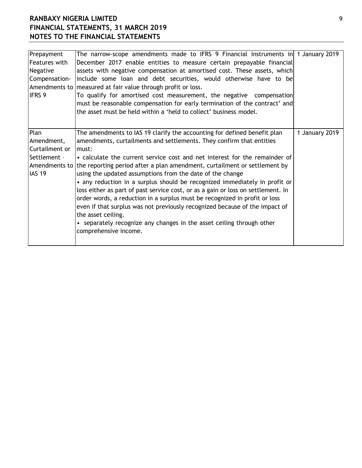# **RANBAXY NIGERIA LIMITED** 9 **FINANCIAL STATEMENTS, 31 MARCH 2019 NOTES TO THE FINANCIAL STATEMENTS**

| Prepayment<br>Features with<br>Negative<br>Compensation-<br><b>IFRS 9</b> | The narrow-scope amendments made to IFRS 9 Financial instruments in 1 January 2019<br>December 2017 enable entities to measure certain prepayable financial<br>assets with negative compensation at amortised cost. These assets, which<br>include some loan and debt securities, would otherwise have to be<br>Amendments to   measured at fair value through profit or loss.<br>To qualify for amortised cost measurement, the negative compensation<br>must be reasonable compensation for early termination of the contract' and<br>the asset must be held within a 'held to collect' business model.                                                                                                                                                                                                                                              |                |
|---------------------------------------------------------------------------|--------------------------------------------------------------------------------------------------------------------------------------------------------------------------------------------------------------------------------------------------------------------------------------------------------------------------------------------------------------------------------------------------------------------------------------------------------------------------------------------------------------------------------------------------------------------------------------------------------------------------------------------------------------------------------------------------------------------------------------------------------------------------------------------------------------------------------------------------------|----------------|
| Plan<br>Amendment,<br>Curtailment or<br>Settlement -<br><b>IAS 19</b>     | The amendments to IAS 19 clarify the accounting for defined benefit plan<br>amendments, curtailments and settlements. They confirm that entities<br>must:<br>• calculate the current service cost and net interest for the remainder of<br>Amendments to the reporting period after a plan amendment, curtailment or settlement by<br>using the updated assumptions from the date of the change<br>• any reduction in a surplus should be recognized immediately in profit or<br>loss either as part of past service cost, or as a gain or loss on settlement. In<br>order words, a reduction in a surplus must be recognized in profit or loss<br>even if that surplus was not previously recognized because of the impact of<br>the asset ceiling.<br>• separately recognize any changes in the asset ceiling through other<br>comprehensive income. | 1 January 2019 |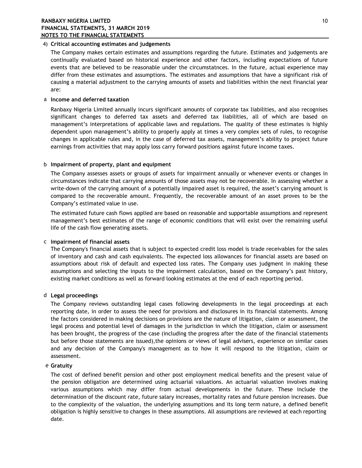### **RANBAXY NIGERIA LIMITED** 10 **FINANCIAL STATEMENTS, 31 MARCH 2019 NOTES TO THE FINANCIAL STATEMENTS**

### 4) **Critical accounting estimates and judgements**

The Company makes certain estimates and assumptions regarding the future. Estimates and judgements are continually evaluated based on historical experience and other factors, including expectations of future events that are believed to be reasonable under the circumstatnces. In the future, actual experience may differ from these estimates and assumptions. The estimates and assumptions that have a significant risk of causing a material adjustment to the carrying amounts of assets and liabilities within the next financial year are:

### a **Income and deferred taxation**

Ranbaxy Nigeria Limited annually incurs significant amounts of corporate tax liabilities, and also recognises significant changes to deferred tax assets and deferred tax liabilities, all of which are based on management's interpretations of applicable laws and regulations. The quality of these estimates is highly dependent upon management's ability to properly apply at times a very complex sets of rules, to recognise changes in applicable rules and, in the case of deferred tax assets, management's ability to project future earnings from activities that may apply loss carry forward positions against future income taxes.

### b **Impairment of property, plant and equipment**

The Company assesses assets or groups of assets for impairment annually or whenever events or changes in circumstances indicate that carrying amounts of those assets may not be recoverable. In assessing whether a write-down of the carrying amount of a potentially impaired asset is required, the asset's carrying amount is compared to the recoverable amount. Frequently, the recoverable amount of an asset proves to be the Company's estimated value in use.

The estimated future cash flows applied are based on reasonable and supportable assumptions and represent management's best estimates of the range of economic conditions that will exist over the remaining useful life of the cash flow generating assets.

### c **Impairment of financial assets**

The Company's financial assets that is subject to expected credit loss model is trade receivables for the sales of inventory and cash and cash equivalents. The expected loss allowances for financial assets are based on assumptions about risk of default and expected loss rates. The Company uses judgment in making these assumptions and selecting the inputs to the impairment calculation, based on the Company's past history, existing market conditions as well as forward looking estimates at the end of each reporting period.

#### d **Legal proceedings**

The Company reviews outstanding legal cases following developments in the legal proceedings at each reporting date, in order to assess the need for provisions and disclosures in its financial statements. Among the factors considered in making decisions on provisions are the nature of litigation, claim or assessment, the legal process and potential level of damages in the jurisdiction in which the litigation, claim or assessment has been brought, the progress of the case (including the progress after the date of the financial statements but before those statements are issued),the opinions or views of legal advisers, experience on similar cases and any decision of the Company's management as to how it will respond to the litigation, claim or assessment.

#### e **Gratuity**

The cost of defined benefit pension and other post employment medical benefits and the present value of the pension obligation are determined using actuarial valuations. An actuarial valuation involves making various assumptions which may differ from actual developments in the future. These include the determination of the discount rate, future salary increases, mortality rates and future pension increases. Due to the complexity of the valuation, the underlying assumptions and its long term nature, a defined benefit obligation is highly sensitive to changes in these assumptions. All assumptions are reviewed at each reporting date.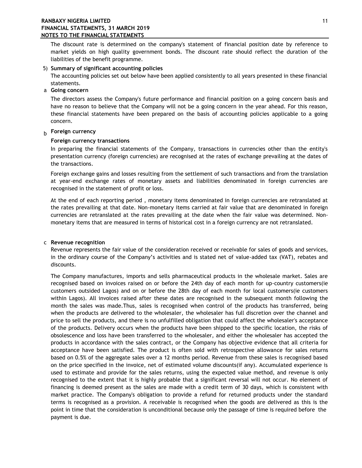The discount rate is determined on the company's statement of financial position date by reference to market yields on high quality government bonds. The discount rate should reflect the duration of the liabilities of the benefit programme.

### 5) **Summary of significant accounting policies**

The accounting policies set out below have been applied consistently to all years presented in these financial statements.

### a **Going concern**

The directors assess the Company's future performance and financial position on a going concern basis and have no reason to believe that the Company will not be a going concern in the year ahead. For this reason, these financial statements have been prepared on the basis of accounting policies applicable to a going concern.

## b **Foreign currency**

### **Foreign currency transactions**

In preparing the financial statements of the Company, transactions in currencies other than the entity's presentation currency (foreign currencies) are recognised at the rates of exchange prevailing at the dates of the transactions.

Foreign exchange gains and losses resulting from the settlement of such transactions and from the translation at year-end exchange rates of monetary assets and liabilities denominated in foreign currencies are recognised in the statement of profit or loss.

At the end of each reporting period , monetary items denominated in foreign currencies are retranslated at the rates prevailing at that date. Non-monetary items carried at fair value that are denominated in foreign currencies are retranslated at the rates prevailing at the date when the fair value was determined. Nonmonetary items that are measured in terms of historical cost in a foreign currency are not retranslated.

#### c **Revenue recognition**

Revenue represents the fair value of the consideration received or receivable for sales of goods and services, in the ordinary course of the Company's activities and is stated net of value-added tax (VAT), rebates and discounts.

The Company manufactures, imports and sells pharmaceutical products in the wholesale market. Sales are recognised based on invoices raised on or before the 24th day of each month for up-country customers(ie customers outsided Lagos) and on or before the 28th day of each month for local customers(ie customers within Lagos). All invoices raised after these dates are recognised in the subsequent month following the month the sales was made.Thus, sales is recognised when control of the products has transferred, being when the products are delivered to the wholesaler, the wholesaler has full discretion over the channel and price to sell the products, and there is no unfulfilled obligation that could affect the wholesaler's acceptance of the products. Delivery occurs when the products have been shipped to the specific location, the risks of obsolescence and loss have been transferred to the wholesaler, and either the wholesaler has accepted the products in accordance with the sales contract, or the Company has objective evidence that all criteria for acceptance have been satisfied. The product is often sold with retrospective allowance for sales returns based on 0.5% of the aggregate sales over a 12 months period. Revenue from these sales is recognised based on the price specified in the invoice, net of estimated volume discounts(if any). Accumulated experience is used to estimate and provide for the sales returns, using the expected value method, and revenue is only recognised to the extent that it is highly probable that a significant reversal will not occur. No element of financing is deemed present as the sales are made with a credit term of 30 days, which is consistent with market practice. The Company's obligation to provide a refund for returned products under the standard terms is recognised as a provision. A receivable is recognised when the goods are delivered as this is the point in time that the consideration is unconditional because only the passage of time is required before the payment is due.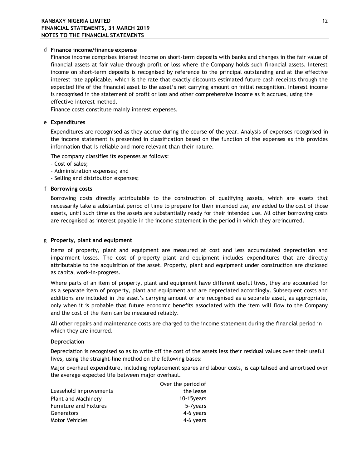### **RANBAXY NIGERIA LIMITED** 12 **FINANCIAL STATEMENTS, 31 MARCH 2019 NOTES TO THE FINANCIAL STATEMENTS**

### d **Finance income/finance expense**

Finance income comprises interest income on short-term deposits with banks and changes in the fair value of financial assets at fair value through profit or loss where the Company holds such financial assets. Interest income on short-term deposits is recognised by reference to the principal outstanding and at the effective interest rate applicable, which is the rate that exactly discounts estimated future cash receipts through the expected life of the financial asset to the asset's net carrying amount on initial recognition. Interest income is recognised in the statement of profit or loss and other comprehensive income as it accrues, using the effective interest method.

Finance costs constitute mainly interest expenses.

### e **Expenditures**

Expenditures are recognised as they accrue during the course of the year. Analysis of expenses recognised in the income statement is presented in classification based on the function of the expenses as this provides information that is reliable and more relevant than their nature.

The company classifies its expenses as follows:

- Cost of sales;
- Administration expenses; and
- Selling and distribution expenses;

### f **Borrowing costs**

Borrowing costs directly attributable to the construction of qualifying assets, which are assets that necessarily take a substantial period of time to prepare for their intended use, are added to the cost of those assets, until such time as the assets are substantially ready for their intended use. All other borrowing costs are recognised as interest payable in the income statement in the period in which they areincurred.

#### g **Property, plant and equipment**

Items of property, plant and equipment are measured at cost and less accumulated depreciation and impairment losses. The cost of property plant and equipment includes expenditures that are directly attributable to the acquisition of the asset. Property, plant and equipment under construction are disclosed as capital work-in-progress.

Where parts of an item of property, plant and equipment have different useful lives, they are accounted for as a separate item of property, plant and equipment and are depreciated accordingly. Subsequent costs and additions are included in the asset's carrying amount or are recognised as a separate asset, as appropriate, only when it is probable that future economic benefits associated with the item will flow to the Company and the cost of the item can be measured reliably.

All other repairs and maintenance costs are charged to the income statement during the financial period in which they are incurred.

#### **Depreciation**

Depreciation is recognised so as to write off the cost of the assets less their residual values over their useful lives, using the straight-line method on the following bases:

Major overhaul expenditure, including replacement spares and labour costs, is capitalised and amortised over the average expected life between major overhaul.

|                               | Over the period of |
|-------------------------------|--------------------|
| Leasehold improvements        | the lease          |
| <b>Plant and Machinery</b>    | 10-15years         |
| <b>Furniture and Fixtures</b> | 5-7 years          |
| Generators                    | 4-6 years          |
| <b>Motor Vehicles</b>         | 4-6 years          |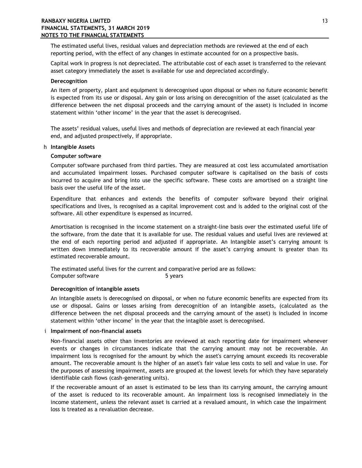The estimated useful lives, residual values and depreciation methods are reviewed at the end of each reporting period, with the effect of any changes in estimate accounted for on a prospective basis.

Capital work in progress is not depreciated. The attributable cost of each asset is transferred to the relevant asset category immediately the asset is available for use and depreciated accordingly.

### **Derecognition**

An item of property, plant and equipment is derecognised upon disposal or when no future economic benefit is expected from its use or disposal. Any gain or loss arising on derecognition of the asset (calculated as the difference between the net disposal proceeds and the carrying amount of the asset) is included in income statement within 'other income' in the year that the asset is derecognised.

The assets' residual values, useful lives and methods of depreciation are reviewed at each financial year end, and adjusted prospectively, if appropriate.

#### h **Intangible Assets**

#### **Computer software**

Computer software purchased from third parties. They are measured at cost less accumulated amortisation and accumulated impairment losses. Purchased computer software is capitalised on the basis of costs incurred to acquire and bring into use the specific software. These costs are amortised on a straight line basis over the useful life of the asset.

Expenditure that enhances and extends the benefits of computer software beyond their original specifications and lives, is recognised as a capital improvement cost and is added to the original cost of the software. All other expenditure is expensed as incurred.

Amortisation is recognised in the income statement on a straight-line basis over the estimated useful life of the software, from the date that it is available for use. The residual values and useful lives are reviewed at the end of each reporting period and adjusted if appropriate. An Intangible asset's carrying amount is written down immediately to its recoverable amount if the asset's carrying amount is greater than its estimated recoverable amount.

The estimated useful lives for the current and comparative period are as follows: Computer software 6 1 1 3 years

#### **Derecognition of intangible assets**

An intangible assets is derecognised on disposal, or when no future economic benefits are expected from its use or disposal. Gains or losses arising from derecognition of an intangible assets, (calculated as the difference between the net disposal proceeds and the carrying amount of the asset) is included in income statement within 'other income' in the year that the intagible asset is derecognised.

### i **Impairment of non-financial assets**

Non-financial assets other than inventories are reviewed at each reporting date for impairment whenever events or changes in circumstances indicate that the carrying amount may not be recoverable. An impairment loss is recognised for the amount by which the asset's carrying amount exceeds its recoverable amount. The recoverable amount is the higher of an asset's fair value less costs to sell and value in use. For the purposes of assessing impairment, assets are grouped at the lowest levels for which they have separately identifiable cash flows (cash-generating units).

If the recoverable amount of an asset is estimated to be less than its carrying amount, the carrying amount of the asset is reduced to its recoverable amount. An impairment loss is recognised immediately in the income statement, unless the relevant asset is carried at a revalued amount, in which case the impairment loss is treated as a revaluation decrease.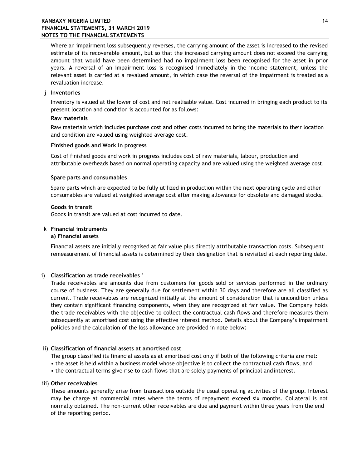### **RANBAXY NIGERIA LIMITED** 14 **FINANCIAL STATEMENTS, 31 MARCH 2019 NOTES TO THE FINANCIAL STATEMENTS**

Where an impairment loss subsequently reverses, the carrying amount of the asset is increased to the revised estimate of its recoverable amount, but so that the increased carrying amount does not exceed the carrying amount that would have been determined had no impairment loss been recognised for the asset in prior years. A reversal of an impairment loss is recognised immediately in the income statement, unless the relevant asset is carried at a revalued amount, in which case the reversal of the impairment is treated as a revaluation increase.

### j **Inventories**

Inventory is valued at the lower of cost and net realisable value. Cost incurred in bringing each product to its present location and condition is accounted for as follows:

#### **Raw materials**

Raw materials which includes purchase cost and other costs incurred to bring the materials to their location and condition are valued using weighted average cost.

### **Finished goods and Work in progress**

Cost of finished goods and work in progress includes cost of raw materials, labour, production and attributable overheads based on normal operating capacity and are valued using the weighted average cost.

### **Spare parts and consumables**

Spare parts which are expected to be fully utilized in production within the next operating cycle and other consumables are valued at weighted average cost after making allowance for obsolete and damaged stocks.

#### **Goods in transit**

Goods in transit are valued at cost incurred to date.

## k **Financial instruments**

### **a) Financial assets**

Financial assets are initially recognised at fair value plus directly attributable transaction costs. Subsequent remeasurement of financial assets is determined by their designation that is revisited at each reporting date.

### i) **Classification as trade receivables '**

Trade receivables are amounts due from customers for goods sold or services performed in the ordinary course of business. They are generally due for settlement within 30 days and therefore are all classified as current. Trade receivables are recognized initially at the amount of consideration that is uncondition unless they contain significant financing components, when they are recognized at fair value. The Company holds the trade receivables with the objective to collect the contractual cash flows and therefore measures them subsequently at amortised cost using the effective interest method. Details about the Company's impairment policies and the calculation of the loss allowance are provided in note below:

### ii) **Classification of financial assets at amortised cost**

The group classified its financial assets as at amortised cost only if both of the following criteria are met:

- the asset is held within a business model whose objective is to collect the contractual cash flows, and
- the contractual terms give rise to cash flows that are solely payments of principal and interest.

### iii) **Other receivables**

These amounts generally arise from transactions outside the usual operating activities of the group. Interest may be charge at commercial rates where the terms of repayment exceed six months. Collateral is not normally obtained. The non-current other receivables are due and payment within three years from the end of the reporting period.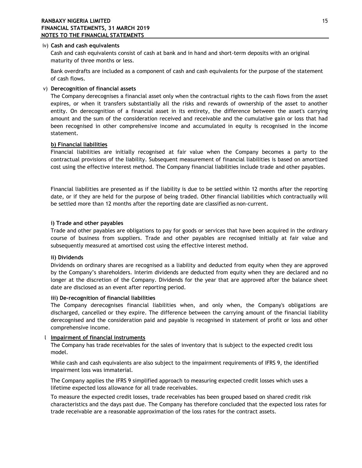### iv) **Cash and cash equivalents**

Cash and cash equivalents consist of cash at bank and in hand and short-term deposits with an original maturity of three months or less.

Bank overdrafts are included as a component of cash and cash equivalents for the purpose of the statement of cash flows.

### v) **Derecognition of financial assets**

The Company derecognises a financial asset only when the contractual rights to the cash flows from the asset expires, or when it transfers substantially all the risks and rewards of ownership of the asset to another entity. On derecognition of a financial asset in its entirety, the difference between the asset's carrying amount and the sum of the consideration received and receivable and the cumulative gain or loss that had been recognised in other comprehensive income and accumulated in equity is recognised in the income statement.

### **b) Financial liabilities**

Financial liabilities are initially recognised at fair value when the Company becomes a party to the contractual provisions of the liability. Subsequent measurement of financial liabilities is based on amortized cost using the effective interest method. The Company financial liabilities include trade and other payables.

Financial liabilities are presented as if the liability is due to be settled within 12 months after the reporting date, or if they are held for the purpose of being traded. Other financial liabilities which contractually will be settled more than 12 months after the reporting date are classified as non-current.

### **i) Trade and other payables**

Trade and other payables are obligations to pay for goods or services that have been acquired in the ordinary course of business from suppliers. Trade and other payables are recognised initially at fair value and subsequently measured at amortised cost using the effective interest method.

#### **ii) Dividends**

Dividends on ordinary shares are recognised as a liability and deducted from equity when they are approved by the Company's shareholders. Interim dividends are deducted from equity when they are declared and no longer at the discretion of the Company. Dividends for the year that are approved after the balance sheet date are disclosed as an event after reporting period.

#### **iii) De-recognition of financial liabilities**

The Company derecognises financial liabilities when, and only when, the Company's obligations are discharged, cancelled or they expire. The difference between the carrying amount of the financial liability derecognised and the consideration paid and payable is recognised in statement of profit or loss and other comprehensive income.

### l **Impairment of financial instruments**

The Company has trade receivables for the sales of inventory that is subject to the expected credit loss model.

While cash and cash equivalents are also subject to the impairment requirements of IFRS 9, the identified impairment loss was immaterial.

The Company applies the IFRS 9 simplified approach to measuring expected credit losses which uses a lifetime expected loss allowance for all trade receivables.

To measure the expected credit losses, trade receivables has been grouped based on shared credit risk characteristics and the days past due. The Company has therefore concluded that the expected loss rates for trade receivable are a reasonable approximation of the loss rates for the contract assets.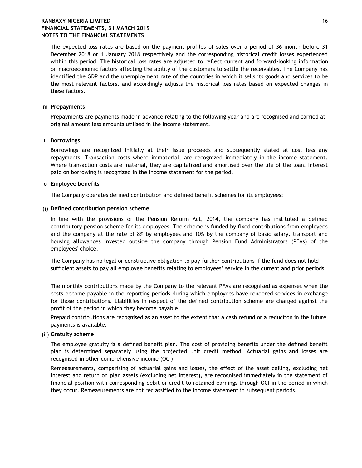The expected loss rates are based on the payment profiles of sales over a period of 36 month before 31 December 2018 or 1 January 2018 respectively and the corresponding historical credit losses experienced within this period. The historical loss rates are adjusted to reflect current and forward-looking information on macroeconomic factors affecting the ability of the customers to settle the receivables. The Company has identified the GDP and the unemployment rate of the countries in which it sells its goods and services to be the most relevant factors, and accordingly adjusts the historical loss rates based on expected changes in these factors.

#### m **Prepayments**

Prepayments are payments made in advance relating to the following year and are recognised and carried at original amount less amounts utilised in the income statement.

#### n **Borrowings**

Borrowings are recognized initially at their issue proceeds and subsequently stated at cost less any repayments. Transaction costs where immaterial, are recognized immediately in the income statement. Where transaction costs are material, they are capitalized and amortised over the life of the loan. Interest paid on borrowing is recognized in the income statement for the period.

#### o **Employee benefits**

The Company operates defined contribution and defined benefit schemes for its employees:

#### (i) **Defined contribution pension scheme**

In line with the provisions of the Pension Reform Act, 2014, the company has instituted a defined contributory pension scheme for its employees. The scheme is funded by fixed contributions from employees and the company at the rate of 8% by employees and 10% by the company of basic salary, transport and housing allowances invested outside the company through Pension Fund Administrators (PFAs) of the employees' choice.

The Company has no legal or constructive obligation to pay further contributions if the fund does not hold sufficient assets to pay all employee benefits relating to employees' service in the current and prior periods.

The monthly contributions made by the Company to the relevant PFAs are recognised as expenses when the costs become payable in the reporting periods during which employees have rendered services in exchange for those contributions. Liabilities in respect of the defined contribution scheme are charged against the profit of the period in which they become payable.

Prepaid contributions are recognised as an asset to the extent that a cash refund or a reduction in the future payments is available.

#### (ii) **Gratuity scheme**

The employee gratuity is a defined benefit plan. The cost of providing benefits under the defined benefit plan is determined separately using the projected unit credit method. Actuarial gains and losses are recognised in other comprehensive income (OCI).

Remeasurements, comparising of actuarial gains and losses, the effect of the asset ceiling, excluding net interest and return on plan assets (excluding net interest), are recognised immediately in the statement of financial position with corresponding debit or credit to retained earnings through OCI in the period in which they occur. Remeasurements are not reclassified to the income statement in subsequent periods.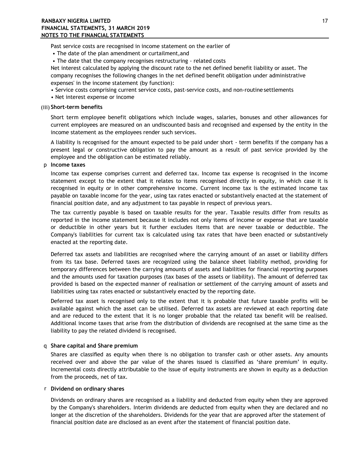Past service costs are recognised in income statement on the earlier of

- The date of the plan amendment or curtailment,and
- The date that the company recognises restructuring related costs

Net interest calculated by applying the discount rate to the net defined benefit liability or asset. The company recognises the following changes in the net defined benefit obligation under administrative expenses' in the income statement (by function):

- Service costs comprising current service costs, past-service costs, and non-routine settlements
- Net interest expense or income

#### (iii) **Short-term benefits**

Short term employee benefit obligations which include wages, salaries, bonuses and other allowances for current employees are measured on an undiscounted basis and recognised and expensed by the entity in the income statement as the employees render such services.

A liability is recognised for the amount expected to be paid under short - term benefits if the company has a present legal or constructive obligation to pay the amount as a result of past service provided by the employee and the obligation can be estimated reliably.

### p **Income taxes**

Income tax expense comprises current and deferred tax. Income tax expense is recognised in the income statement except to the extent that it relates to items recognised directly in equity, in which case it is recognised in equity or in other comprehensive income. Current income tax is the estimated income tax payable on taxable income for the year, using tax rates enacted or substantively enacted at the statement of financial position date, and any adjustment to tax payable in respect of previous years.

The tax currently payable is based on taxable results for the year. Taxable results differ from results as reported in the income statement because it includes not only items of income or expense that are taxable or deductible in other years but it further excludes items that are never taxable or deductible. The Company's liabilities for current tax is calculated using tax rates that have been enacted or substantively enacted at the reporting date.

Deferred tax assets and liabilities are recognised where the carrying amount of an asset or liability differs from its tax base. Deferred taxes are recognized using the balance sheet liability method, providing for temporary differences between the carrying amounts of assets and liabilities for financial reporting purposes and the amounts used for taxation purposes (tax bases of the assets or liability). The amount of deferred tax provided is based on the expected manner of realisation or settlement of the carrying amount of assets and liabilities using tax rates enacted or substantively enacted by the reporting date.

Deferred tax asset is recognised only to the extent that it is probable that future taxable profits will be available against which the asset can be utilised. Deferred tax assets are reviewed at each reporting date and are reduced to the extent that it is no longer probable that the related tax benefit will be realised. Additional income taxes that arise from the distribution of dividends are recognised at the same time as the liability to pay the related dividend is recognised.

#### q **Share capital and Share premium**

Shares are classified as equity when there is no obligation to transfer cash or other assets. Any amounts received over and above the par value of the shares issued is classified as 'share premium' in equity. Incremental costs directly attributable to the issue of equity instruments are shown in equity as a deduction from the proceeds, net of tax.

#### r **Dividend on ordinary shares**

Dividends on ordinary shares are recognised as a liability and deducted from equity when they are approved by the Company's shareholders. Interim dividends are deducted from equity when they are declared and no longer at the discretion of the shareholders. Dividends for the year that are approved after the statement of financial position date are disclosed as an event after the statement of financial position date.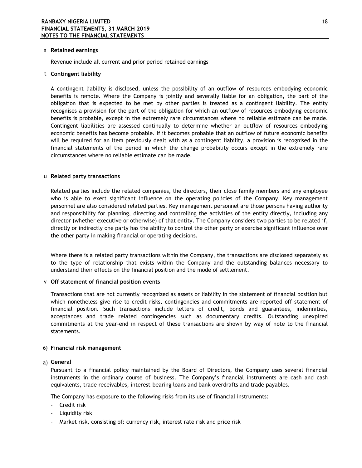#### s **Retained earnings**

Revenue include all current and prior period retained earnings

#### t **Contingent liability**

A contingent liability is disclosed, unless the possibility of an outflow of resources embodying economic benefits is remote. Where the Company is jointly and severally liable for an obligation, the part of the obligation that is expected to be met by other parties is treated as a contingent liability. The entity recognises a provision for the part of the obligation for which an outflow of resources embodying economic benefits is probable, except in the extremely rare circumstances where no reliable estimate can be made. Contingent liabilities are assessed continually to determine whether an outflow of resources embodying economic benefits has become probable. If it becomes probable that an outflow of future economic benefits will be required for an item previously dealt with as a contingent liability, a provision is recognised in the financial statements of the period in which the change probability occurs except in the extremely rare circumstances where no reliable estimate can be made.

#### u **Related party transactions**

Related parties include the related companies, the directors, their close family members and any employee who is able to exert significant influence on the operating policies of the Company. Key management personnel are also considered related parties. Key management personnel are those persons having authority and responsibility for planning, directing and controlling the activities of the entity directly, including any director (whether executive or otherwise) of that entity. The Company considers two parties to be related if, directly or indirectly one party has the ability to control the other party or exercise significant influence over the other party in making financial or operating decisions.

Where there is a related party transactions within the Company, the transactions are disclosed separately as to the type of relationship that exists within the Company and the outstanding balances necessary to understand their effects on the financial position and the mode of settlement.

#### v **Off statement of financial position events**

Transactions that are not currently recognized as assets or liability in the statement of financial position but which nonetheless give rise to credit risks, contingencies and commitments are reported off statement of financial position. Such transactions include letters of credit, bonds and guarantees, indemnities, acceptances and trade related contingencies such as documentary credits. Outstanding unexpired commitments at the year-end in respect of these transactions are shown by way of note to the financial statements.

### 6) **Financial risk management**

#### a) **General**

Pursuant to a financial policy maintained by the Board of Directors, the Company uses several financial instruments in the ordinary course of business. The Company's financial instruments are cash and cash equivalents, trade receivables, interest-bearing loans and bank overdrafts and trade payables.

The Company has exposure to the following risks from its use of financial instruments:

- Credit risk
- Liquidity risk
- Market risk, consisting of: currency risk, interest rate risk and price risk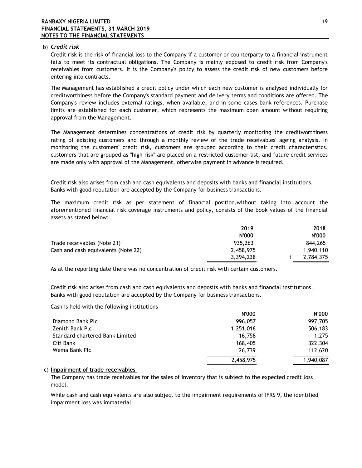## b) *Credit risk*

Credit risk is the risk of financial loss to the Company if a customer or counterparty to a financial instrument fails to meet its contractual obligations. The Company is mainly exposed to credit risk from Company's receivables from customers. It is the Company's policy to assess the credit risk of new customers before entering into contracts.

The Management has established a credit policy under which each new customer is analysed individually for creditworthiness before the Company's standard payment and delivery terms and conditions are offered. The Company's review includes external ratings, when available, and in some cases bank references. Purchase limits are established for each customer, which represents the maximum open amount without requiring approval from the Management.

The Management determines concentrations of credit risk by quarterly monitoring the creditworthiness rating of existing customers and through a monthly review of the trade receivables' ageing analysis. In monitoring the customers' credit risk, customers are grouped according to their credit characteristics. customers that are grouped as "high risk" are placed on a restricted customer list, and future credit services are made only with approval of the Management, otherwise payment in advance is required.

Credit risk also arises from cash and cash equivalents and deposits with banks and financial institutions. Banks with good reputation are accepted by the Company for business transactions.

The maximum credit risk as per statement of financial position,without taking into account the aforementioned financial risk coverage instruments and policy, consists of the book values of the financial assets as stated below:

|                                     | 2019         | 2018         |
|-------------------------------------|--------------|--------------|
|                                     | <b>N'000</b> | <b>N'000</b> |
| Trade receivables (Note 21)         | 935,263      | 844,265      |
| Cash and cash equivalents (Note 22) | 2,458,975    | 1.940.110    |
|                                     | 3.394.238    | 2.784.375    |
|                                     |              |              |

As at the reporting date there was no concentration of credit risk with certain customers.

Credit risk also arises from cash and cash equivalents and deposits with banks and financial institutions. Banks with good reputation are accepted by the Company for business transactions.

Cash is held with the following institutions

|                                 | <b>N'000</b> | <b>N'000</b> |
|---------------------------------|--------------|--------------|
| Diamond Bank Plc                | 996,057      | 997,705      |
| Zenith Bank Plc                 | 1,251,016    | 506,183      |
| Standard chartered Bank Limited | 16.758       | 1.275        |
| Citi Bank                       | 168,405      | 322,304      |
| Wema Bank Plc                   | 26,739       | 112,620      |
|                                 | 2,458,975    | 1,940,087    |

#### c) **Impairment of trade receivables**

The Company has trade receivables for the sales of inventory that is subject to the expected credit loss model.

While cash and cash equivalents are also subject to the impairment requirements of IFRS 9, the identified impairment loss was immaterial.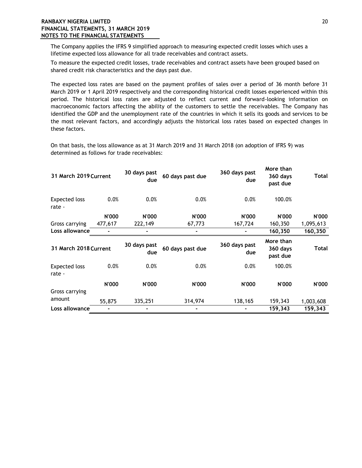### **RANBAXY NIGERIA LIMITED** 20 **FINANCIAL STATEMENTS, 31 MARCH 2019 NOTES TO THE FINANCIAL STATEMENTS**

The Company applies the IFRS 9 simplified approach to measuring expected credit losses which uses a lifetime expected loss allowance for all trade receivables and contract assets.

To measure the expected credit losses, trade receivables and contract assets have been grouped based on shared credit risk characteristics and the days past due.

The expected loss rates are based on the payment profiles of sales over a period of 36 month before 31 March 2019 or 1 April 2019 respectively and the corresponding historical credit losses experienced within this period. The historical loss rates are adjusted to reflect current and forward-looking information on macroeconomic factors affecting the ability of the customers to settle the receivables. The Company has identified the GDP and the unemployment rate of the countries in which it sells its goods and services to be the most relevant factors, and accordingly adjusts the historical loss rates based on expected changes in these factors.

On that basis, the loss allowance as at 31 March 2019 and 31 March 2018 (on adoption of IFRS 9) was determined as follows for trade receivables:

| 31 March 2019 Current          |         | 30 days past<br>due | 60 days past due | 360 days past<br>due | More than<br>360 days<br>past due | Total     |
|--------------------------------|---------|---------------------|------------------|----------------------|-----------------------------------|-----------|
| <b>Expected loss</b><br>rate - | 0.0%    | 0.0%                | 0.0%             | 0.0%                 | 100.0%                            |           |
|                                | N'000   | N'000               | <b>N'000</b>     | <b>N'000</b>         | N'000                             | N'000     |
| Gross carrying                 | 477,617 | 222,149             | 67,773           | 167,724              | 160,350                           | 1,095,613 |
| Loss allowance                 |         |                     |                  |                      | 160,350                           | 160,350   |
| 31 March 2018 Current          |         | 30 days past<br>due | 60 days past due | 360 days past<br>due | More than<br>360 days<br>past due | Total     |
| <b>Expected loss</b><br>rate - | 0.0%    | 0.0%                | 0.0%             | 0.0%                 | 100.0%                            |           |
|                                | N'000   | N'000               | <b>N'000</b>     | <b>N'000</b>         | N'000                             | N'000     |
| Gross carrying                 |         |                     |                  |                      |                                   |           |
| amount                         | 55,875  | 335,251             | 314,974          | 138,165              | 159,343                           | 1,003,608 |
| Loss allowance                 |         |                     |                  |                      | 159,343                           | 159,343   |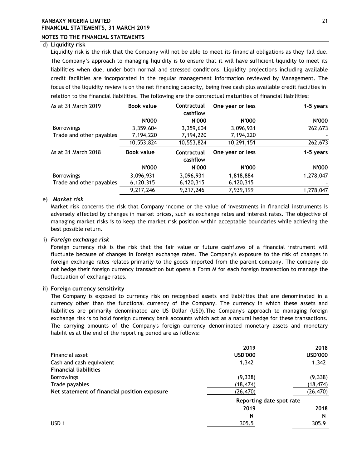### d) **Liquidity risk**

Liquidity risk is the risk that the Company will not be able to meet its financial obligations as they fall due. The Company's approach to managing liquidity is to ensure that it will have sufficient liquidity to meet its liabilities when due, under both normal and stressed conditions. Liquidity projections including available credit facilities are incorporated in the regular management information reviewed by Management. The focus of the liquidity review is on the net financing capacity, being free cash plus available credit facilities in relation to the financial liabilities. The following are the contractual maturities of financial liabilities:

| As at 31 March 2019      | <b>Book value</b> | Contractual<br>cashflow | One year or less | 1-5 years    |
|--------------------------|-------------------|-------------------------|------------------|--------------|
|                          | N'000             | N'000                   | N'000            | <b>N'000</b> |
| <b>Borrowings</b>        | 3,359,604         | 3,359,604               | 3,096,931        | 262,673      |
| Trade and other payables | 7,194,220         | 7,194,220               | 7,194,220        |              |
|                          | 10,553,824        | 10,553,824              | 10,291,151       | 262,673      |
|                          |                   |                         |                  |              |
| As at 31 March 2018      | <b>Book value</b> | Contractual<br>cashflow | One year or less | 1-5 years    |
|                          | N'000             | <b>N'000</b>            | N'000            | <b>N'000</b> |
| <b>Borrowings</b>        | 3,096,931         | 3,096,931               | 1,818,884        |              |
| Trade and other payables | 6,120,315         | 6,120,315               | 6,120,315        | 1,278,047    |

#### e) *Market risk*

Market risk concerns the risk that Company income or the value of investments in financial instruments is adversely affected by changes in market prices, such as exchange rates and interest rates. The objective of managing market risks is to keep the market risk position within acceptable boundaries while achieving the best possible return.

#### i) *Foreign exchange risk*

Foreign currency risk is the risk that the fair value or future cashflows of a financial instrument will fluctuate because of changes in foreign exchange rates. The Company's exposure to the risk of changes in foreign exchange rates relates primarily to the goods imported from the parent company. The company do not hedge their foreign currency transaction but opens a Form M for each foreign transaction to manage the fluctuation of exchange rates.

#### ii) **Foreign currency sensitivity**

The Company is exposed to currency risk on recognised assets and liabilities that are denominated in a currency other than the functional currency of the Company. The currency in which these assets and liabilities are primarily denominated are US Dollar (USD).The Company's approach to managing foreign exchange risk is to hold foreign currency bank accounts which act as a natural hedge for these transactions. The carrying amounts of the Company's foreign currency denominated monetary assets and monetary liabilities at the end of the reporting period are as follows:

|                                              | 2019                     | 2018           |
|----------------------------------------------|--------------------------|----------------|
| Financial asset                              | <b>USD'000</b>           | <b>USD'000</b> |
| Cash and cash equivalent                     | 1,342                    | 1,342          |
| <b>Financial liabilities</b>                 |                          |                |
| <b>Borrowings</b>                            | (9, 338)                 | (9, 338)       |
| Trade payables                               | (18, 474)                | (18, 474)      |
| Net statement of financial position exposure | (26, 470)                | (26, 470)      |
|                                              | Reporting date spot rate |                |
|                                              | 2019                     | 2018           |
|                                              | N                        | N              |
| USD <sub>1</sub>                             | 305.5                    | 305.9          |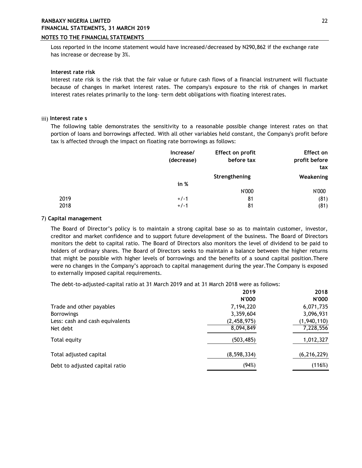# **RANBAXY NIGERIA LIMITED** 22 **FINANCIAL STATEMENTS, 31 MARCH 2019**

### **NOTES TO THE FINANCIAL STATEMENTS**

Loss reported in the income statement would have increased/decreased by N290,862 if the exchange rate has increase or decrease by 3%.

### **Interest rate risk**

Interest rate risk is the risk that the fair value or future cash flows of a financial instrument will fluctuate because of changes in market interest rates. The company's exposure to the risk of changes in market interest rates relates primarily to the long- term debt obligations with floating interestrates.

#### iii) **Interest rate s**

The following table demonstrates the sensitivity to a reasonable possible change interest rates on that portion of loans and borrowings affected. With all other variables held constant, the Company's profit before tax is affected through the impact on floating rate borrowings as follows:

|      | Increase/<br>(decrease) | Effect on profit<br>before tax | <b>Effect on</b><br>profit before<br>tax |
|------|-------------------------|--------------------------------|------------------------------------------|
|      |                         | Strengthening                  | Weakening                                |
|      | in $%$                  | N'000                          | N'000                                    |
| 2019 | $+/-1$                  | 81                             | (81)                                     |
| 2018 | $+/-1$                  | 81                             | (81)                                     |

#### 7) **Capital management**

The Board of Director's policy is to maintain a strong capital base so as to maintain customer, investor, creditor and market confidence and to support future development of the business. The Board of Directors monitors the debt to capital ratio. The Board of Directors also monitors the level of dividend to be paid to holders of ordinary shares. The Board of Directors seeks to maintain a balance between the higher returns that might be possible with higher levels of borrowings and the benefits of a sound capital position.There were no changes in the Company's approach to capital management during the year.The Company is exposed to externally imposed capital requirements.

The debt-to-adjusted-capital ratio at 31 March 2019 and at 31 March 2018 were as follows:

|                                 | 2019          | 2018          |
|---------------------------------|---------------|---------------|
|                                 | N'000         | N'000         |
| Trade and other payables        | 7,194,220     | 6,071,735     |
| <b>Borrowings</b>               | 3,359,604     | 3,096,931     |
| Less: cash and cash equivalents | (2, 458, 975) | (1,940,110)   |
| Net debt                        | 8,094,849     | 7,228,556     |
| Total equity                    | (503,485)     | 1,012,327     |
| Total adjusted capital          | (8, 598, 334) | (6, 216, 229) |
| Debt to adjusted capital ratio  | (94%)         | (116%)        |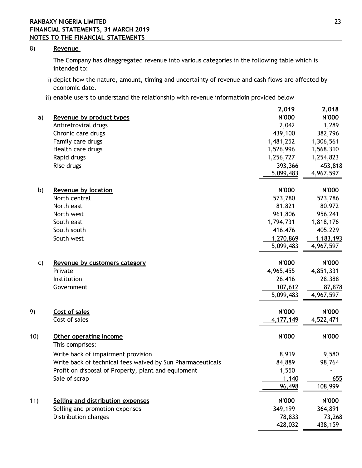## **RANBAXY NIGERIA LIMITED** 23 **FINANCIAL STATEMENTS, 31 MARCH 2019 NOTES TO THE FINANCIAL STATEMENTS**

## 8) **Revenue**

The Company has disaggregated revenue into various categories in the following table which is intended to:

- i) depict how the nature, amount, timing and uncertainty of revenue and cash flows are affected by economic date.
- ii) enable users to understand the relationship with revenue informatioin provided below

|              |                                                            | 2,019        | 2,018        |
|--------------|------------------------------------------------------------|--------------|--------------|
| a)           | Revenue by product types                                   | <b>N'000</b> | <b>N'000</b> |
|              | Antiretroviral drugs                                       | 2,042        | 1,289        |
|              | Chronic care drugs                                         | 439,100      | 382,796      |
|              | Family care drugs                                          | 1,481,252    | 1,306,561    |
|              | Health care drugs                                          | 1,526,996    | 1,568,310    |
|              | Rapid drugs                                                | 1,256,727    | 1,254,823    |
|              | Rise drugs                                                 | 393,366      | 453,818      |
|              |                                                            | 5,099,483    | 4,967,597    |
| b)           | <b>Revenue by location</b>                                 | <b>N'000</b> | <b>N'000</b> |
|              | North central                                              | 573,780      | 523,786      |
|              | North east                                                 | 81,821       | 80,972       |
|              | North west                                                 | 961,806      | 956,241      |
|              | South east                                                 | 1,794,731    | 1,818,176    |
|              | South south                                                | 416,476      | 405,229      |
|              | South west                                                 | 1,270,869    | 1,183,193    |
|              |                                                            | 5,099,483    | 4,967,597    |
| $\mathsf{C}$ | Revenue by customers category                              | <b>N'000</b> | <b>N'000</b> |
|              | Private                                                    | 4,965,455    | 4,851,331    |
|              | Institution                                                | 26,416       | 28,388       |
|              | Government                                                 | 107,612      | 87,878       |
|              |                                                            | 5,099,483    | 4,967,597    |
| 9)           | Cost of sales                                              | <b>N'000</b> | <b>N'000</b> |
|              | Cost of sales                                              | 4, 177, 149  | 4,522,471    |
|              |                                                            |              |              |
| 10)          | Other operating income<br>This comprises:                  | <b>N'000</b> | <b>N'000</b> |
|              | Write back of impairment provision                         | 8,919        | 9,580        |
|              | Write back of technical fees waived by Sun Pharmaceuticals | 84,889       | 98,764       |
|              | Profit on disposal of Property, plant and equipment        | 1.550        |              |
|              | Sale of scrap                                              | 1,140        | 655          |
|              |                                                            | 96,498       | 108,999      |
| 11)          | Selling and distribution expenses                          | <b>N'000</b> | <b>N'000</b> |
|              | Selling and promotion expenses                             | 349,199      | 364,891      |
|              | <b>Distribution charges</b>                                | 78,833       | 73,268       |
|              |                                                            | 428,032      | 438,159      |
|              |                                                            |              |              |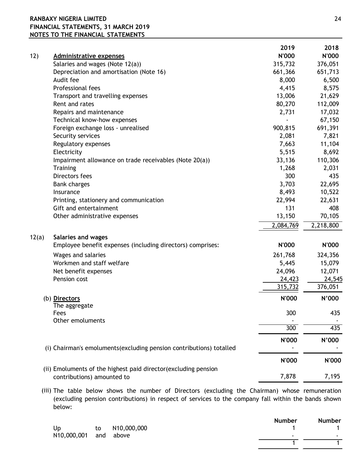## **RANBAXY NIGERIA LIMITED** 24 **FINANCIAL STATEMENTS, 31 MARCH 2019 NOTES TO THE FINANCIAL STATEMENTS**

|       |                                                                      | 2019         | 2018         |
|-------|----------------------------------------------------------------------|--------------|--------------|
| 12)   | <b>Administrative expenses</b>                                       | N'000        | N'000        |
|       | Salaries and wages (Note 12(a))                                      | 315,732      | 376,051      |
|       | Depreciation and amortisation (Note 16)                              | 661,366      | 651,713      |
|       | Audit fee                                                            | 8,000        | 6,500        |
|       | Professional fees                                                    | 4,415        | 8,575        |
|       | Transport and travelling expenses                                    | 13,006       | 21,629       |
|       | Rent and rates                                                       | 80,270       | 112,009      |
|       | Repairs and maintenance                                              | 2,731        | 17,032       |
|       | Technical know-how expenses                                          |              | 67,150       |
|       | Foreign exchange loss - unrealised                                   | 900,815      | 691,391      |
|       | Security services                                                    | 2,081        | 7,821        |
|       | Regulatory expenses                                                  | 7,663        | 11,104       |
|       | Electricity                                                          | 5,515        | 8,692        |
|       | Impairment allowance on trade receivables (Note 20(a))               | 33,136       | 110,306      |
|       | <b>Training</b>                                                      | 1,268        | 2,031        |
|       | Directors fees                                                       | 300          | 435          |
|       | <b>Bank charges</b>                                                  | 3,703        | 22,695       |
|       | Insurance                                                            | 8,493        | 10,522       |
|       | Printing, stationery and communication                               | 22,994       | 22,631       |
|       | Gift and entertainment                                               | 131          | 408          |
|       | Other administrative expenses                                        | 13,150       | 70,105       |
|       |                                                                      | 2,084,769    | 2,218,800    |
| 12(a) | Salaries and wages                                                   |              |              |
|       | Employee benefit expenses (including directors) comprises:           | <b>N'000</b> | N'000        |
|       | Wages and salaries                                                   | 261,768      | 324,356      |
|       | Workmen and staff welfare                                            | 5,445        | 15,079       |
|       | Net benefit expenses                                                 | 24,096       | 12,071       |
|       | Pension cost                                                         | 24,423       | 24,545       |
|       |                                                                      | 315,732      | 376,051      |
|       | (b) Directors                                                        | <b>N'000</b> | N'000        |
|       | The aggregate<br>Fees                                                | 300          | 435          |
|       | Other emoluments                                                     |              |              |
|       |                                                                      | 300          | 435          |
|       |                                                                      | <b>N'000</b> | N'000        |
|       | (i) Chairman's emoluments (excluding pension contributions) totalled |              |              |
|       |                                                                      | <b>N'000</b> | <b>N'000</b> |
|       | (ii) Emoluments of the highest paid director (excluding pension      |              |              |
|       | contributions) amounted to                                           | 7,878        | 7,195        |

(iii) The table below shows the number of Directors (excluding the Chairman) whose remuneration (excluding pension contributions) in respect of services to the company fall within the bands shown below:

|                       |    |             | Number                   | <b>Number</b> |
|-----------------------|----|-------------|--------------------------|---------------|
| Up                    | to | N10,000,000 |                          |               |
| N10,000,001 and above |    |             | $\overline{\phantom{a}}$ | $\sim$        |
|                       |    |             |                          |               |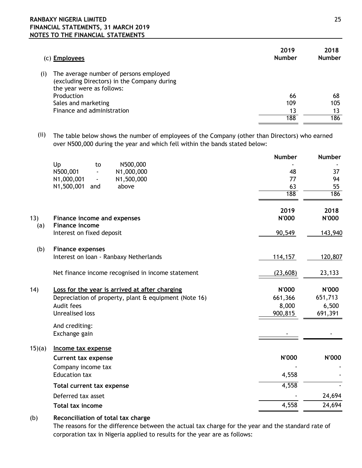## **RANBAXY NIGERIA LIMITED** 25 **FINANCIAL STATEMENTS, 31 MARCH 2019 NOTES TO THE FINANCIAL STATEMENTS**

| (c) <b>Employees</b>                                                                                               | 2019<br><b>Number</b> | 2018<br><b>Number</b> |
|--------------------------------------------------------------------------------------------------------------------|-----------------------|-----------------------|
| The average number of persons employed<br>(excluding Directors) in the Company during<br>the year were as follows: |                       |                       |
| Production                                                                                                         | 66                    | 68                    |
| Sales and marketing                                                                                                | 109                   | 105                   |
| Finance and administration                                                                                         | 13                    | 1 <sub>3</sub>        |
|                                                                                                                    | 188                   | 186                   |

(ii) The table below shows the number of employees of the Company (other than Directors) who earned over N500,000 during the year and which fell within the bands stated below:

|         |                                                       | <b>Number</b>        | <b>Number</b> |
|---------|-------------------------------------------------------|----------------------|---------------|
|         | N500,000<br>Up<br>to<br>N500,001<br>N1,000,000        | 48                   | 37            |
|         | N1,000,001<br>N1,500,000<br>$\blacksquare$            | 77                   | 94            |
|         | N1,500,001<br>above<br>and                            | 63                   | 55            |
|         |                                                       | 188                  | 186           |
| 13)     | Finance income and expenses                           | 2019<br><b>N'000</b> | 2018<br>N'000 |
| (a)     | <b>Finance income</b>                                 |                      |               |
|         | Interest on fixed deposit                             | 90,549               | 143,940       |
| (b)     | <b>Finance expenses</b>                               |                      |               |
|         | Interest on loan - Ranbaxy Netherlands                | 114,157              | 120,807       |
|         | Net finance income recognised in income statement     | (23, 608)            | 23,133        |
| (14)    | Loss for the year is arrived at after charging        | <b>N'000</b>         | N'000         |
|         | Depreciation of property, plant & equipment (Note 16) | 661,366              | 651,713       |
|         | Audit fees                                            | 8,000                | 6,500         |
|         | <b>Unrealised loss</b>                                | 900,815              | 691,391       |
|         | And crediting:                                        |                      |               |
|         | Exchange gain                                         |                      |               |
| (15)(a) | Income tax expense                                    |                      |               |
|         | <b>Current tax expense</b>                            | <b>N'000</b>         | <b>N'000</b>  |
|         | Company income tax                                    |                      |               |
|         | <b>Education tax</b>                                  | 4,558                |               |
|         | Total current tax expense                             | 4,558                |               |
|         | Deferred tax asset                                    |                      | 24,694        |
|         | <b>Total tax income</b>                               | 4,558                | 24,694        |
|         |                                                       |                      |               |

(b) **Reconciliation of total tax charge**

The reasons for the difference between the actual tax charge for the year and the standard rate of corporation tax in Nigeria applied to results for the year are as follows: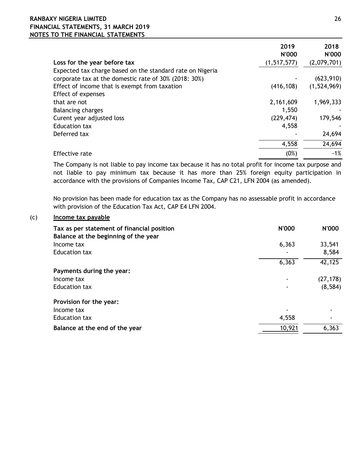## **RANBAXY NIGERIA LIMITED** 26 **FINANCIAL STATEMENTS, 31 MARCH 2019 NOTES TO THE FINANCIAL STATEMENTS**

|                                                           | 2019<br>N'000 | 2018<br><b>N'000</b> |
|-----------------------------------------------------------|---------------|----------------------|
| Loss for the year before tax                              | (1, 517, 577) | (2,079,701)          |
| Expected tax charge based on the standard rate on Nigeria |               |                      |
| corporate tax at the domestic rate of 30% (2018: 30%)     |               | (623, 910)           |
| Effect of income that is exempt from taxation             | (416, 108)    | (1,524,969)          |
| Effect of expenses                                        |               |                      |
| that are not                                              | 2,161,609     | 1,969,333            |
| Balancing charges                                         | 1,550         |                      |
| Curent year adjusted loss                                 | (229, 474)    | 179,546              |
| Education tax                                             | 4,558         |                      |
| Deferred tax                                              |               | 24,694               |
|                                                           | 4,558         | 24,694               |
| Effective rate                                            | (0%)          | $-1%$                |

The Company is not liable to pay income tax because it has no total profit for income tax purpose and not liable to pay minimum tax because it has more than 25% foreign equity participation in accordance with the provisions of Companies Income Tax, CAP C21, LFN 2004 (as amended).

No provision has been made for education tax as the Company has no assessable profit in accordance with provision of the Education Tax Act, CAP E4 LFN 2004.

## (c) **Income tax payable**

| Tax as per statement of financial position<br>Balance at the beginning of the year | <b>N'000</b> | <b>N'000</b> |
|------------------------------------------------------------------------------------|--------------|--------------|
| Income tax                                                                         | 6,363        | 33,541       |
| Education tax                                                                      |              | 8,584        |
|                                                                                    | 6,363        | 42,125       |
| Payments during the year:                                                          |              |              |
| Income tax                                                                         |              | (27, 178)    |
| Education tax                                                                      |              | (8, 584)     |
| Provision for the year:                                                            |              |              |
| Income tax                                                                         |              |              |
| Education tax                                                                      | 4,558        |              |
| Balance at the end of the year                                                     | 10,921       | 6,363        |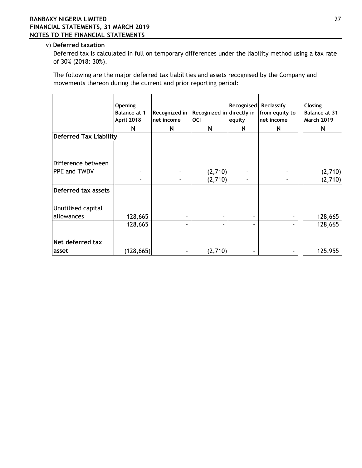## v) **Deferred taxation**

Deferred tax is calculated in full on temporary differences under the liability method using a tax rate of 30% (2018: 30%).

The following are the major deferred tax liabilities and assets recognised by the Company and movements thereon during the current and prior reporting period:

|                               | <b>Opening</b><br>Balance at 1<br>April 2018 | Recognized in<br>net income | Recognized in directly in<br>OCI | Recognised<br>equity | <b>Reclassify</b><br>from equity to<br>net income | Closing<br><b>Balance at 31</b><br><b>March 2019</b> |
|-------------------------------|----------------------------------------------|-----------------------------|----------------------------------|----------------------|---------------------------------------------------|------------------------------------------------------|
|                               | N                                            | N                           | N                                | N                    | N                                                 | N                                                    |
| <b>Deferred Tax Liability</b> |                                              |                             |                                  |                      |                                                   |                                                      |
|                               |                                              |                             |                                  |                      |                                                   |                                                      |
|                               |                                              |                             |                                  |                      |                                                   |                                                      |
| Difference between            |                                              |                             |                                  |                      |                                                   |                                                      |
| PPE and TWDV                  | $\overline{\phantom{0}}$                     |                             | (2,710)                          |                      |                                                   | (2,710)                                              |
|                               |                                              |                             | (2,710)                          | $\blacksquare$       |                                                   | (2,710)                                              |
| <b>Deferred tax assets</b>    |                                              |                             |                                  |                      |                                                   |                                                      |
|                               |                                              |                             |                                  |                      |                                                   |                                                      |
| Unutilised capital            |                                              |                             |                                  |                      |                                                   |                                                      |
| allowances                    | 128,665                                      |                             | $\blacksquare$                   | $\blacksquare$       |                                                   | 128,665                                              |
|                               | 128,665                                      |                             | $\blacksquare$                   | $\blacksquare$       |                                                   | 128,665                                              |
| Net deferred tax              |                                              |                             |                                  |                      |                                                   |                                                      |
| asset                         | (128, 665)                                   |                             | (2,710)                          |                      |                                                   | 125,955                                              |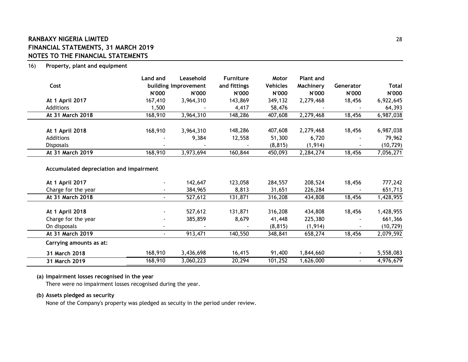# **RANBAXY NIGERIA LIMITED FINANCIAL STATEMENTS, 31 MARCH 2019 NOTES TO THE FINANCIAL STATEMENTS**

## 16) **Property, plant and equipment**

|                         | Land and                 | Leasehold            | <b>Furniture</b> | Motor           | <b>Plant and</b> |                          |              |
|-------------------------|--------------------------|----------------------|------------------|-----------------|------------------|--------------------------|--------------|
| Cost                    |                          | building Improvement | and fittings     | <b>Vehicles</b> | Machinery        | Generator                | <b>Total</b> |
|                         | N'000                    | <b>N'000</b>         | N'000            | N'000           | N'000            | N'000                    | N'000        |
| At 1 April 2017         | 167,410                  | 3,964,310            | 143,869          | 349,132         | 2,279,468        | 18,456                   | 6,922,645    |
| Additions               | 1,500                    |                      | 4,417            | 58,476          |                  |                          | 64,393       |
| At 31 March 2018        | 168,910                  | 3,964,310            | 148,286          | 407,608         | 2,279,468        | 18,456                   | 6,987,038    |
| At 1 April 2018         | 168,910                  | 3,964,310            | 148,286          | 407,608         | 2,279,468        | 18,456                   | 6,987,038    |
| <b>Additions</b>        |                          | 9,384                | 12,558           | 51,300          | 6,720            |                          | 79,962       |
| <b>Disposals</b>        |                          |                      |                  | (8, 815)        | (1, 914)         |                          | (10, 729)    |
| At 31 March 2019        | 168,910                  | 3,973,694            | 160,844          | 450,093         | 2,284,274        | 18,456                   | 7,056,271    |
| At 1 April 2017         | $\overline{\phantom{a}}$ | 142,647              | 123,058          | 284,557         | 208,524          | 18,456                   | 777,242      |
| Charge for the year     | $\blacksquare$           | 384,965              | 8,813            | 31,651          | 226,284          |                          | 651,713      |
| At 31 March 2018        |                          | 527,612              | 131,871          | 316,208         | 434,808          | 18,456                   | 1,428,955    |
| At 1 April 2018         |                          | 527,612              | 131,871          | 316,208         | 434,808          | 18,456                   | 1,428,955    |
| Charge for the year     | $\overline{\phantom{a}}$ | 385,859              | 8,679            | 41,448          | 225,380          |                          | 661,366      |
| On disposals            |                          |                      |                  | (8, 815)        | (1, 914)         |                          | (10, 729)    |
| At 31 March 2019        | $\overline{\phantom{a}}$ | 913,471              | 140,550          | 348,841         | 658,274          | 18,456                   | 2,079,592    |
| Carrying amounts as at: |                          |                      |                  |                 |                  |                          |              |
| 31 March 2018           | 168,910                  | 3,436,698            | 16,415           | 91,400          | 1,844,660        | $\blacksquare$           | 5,558,083    |
| 31 March 2019           | 168,910                  | 3,060,223            | 20,294           | 101,252         | 1,626,000        | $\overline{\phantom{a}}$ | 4,976,679    |

## **(a) Impairment losses recognised in the year**

There were no impairment losses recognised during the year.

## **(b) Assets pledged as security**

None of the Company's property was pledged as secuity in the period under review.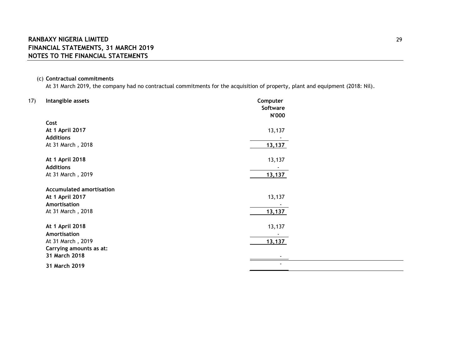# **RANBAXY NIGERIA LIMITED** 29 **FINANCIAL STATEMENTS, 31 MARCH 2019 NOTES TO THE FINANCIAL STATEMENTS**

## (c) **Contractual commitments**

At 31 March 2019, the company had no contractual commitments for the acquisition of property, plant and equipment (2018: Nil).

| 17) | Intangible assets               | Computer<br>Software<br>N'000 |  |
|-----|---------------------------------|-------------------------------|--|
|     | Cost                            |                               |  |
|     | At 1 April 2017                 | 13,137                        |  |
|     | <b>Additions</b>                |                               |  |
|     | At 31 March, 2018               | 13,137                        |  |
|     | At 1 April 2018                 | 13,137                        |  |
|     | <b>Additions</b>                |                               |  |
|     | At 31 March, 2019               | 13,137                        |  |
|     | <b>Accumulated amortisation</b> |                               |  |
|     | At 1 April 2017                 | 13,137                        |  |
|     | Amortisation                    |                               |  |
|     | At 31 March, 2018               | 13,137                        |  |
|     | At 1 April 2018                 | 13,137                        |  |
|     | <b>Amortisation</b>             |                               |  |
|     | At 31 March, 2019               | 13,137                        |  |
|     | Carrying amounts as at:         |                               |  |
|     | 31 March 2018                   |                               |  |
|     | 31 March 2019                   |                               |  |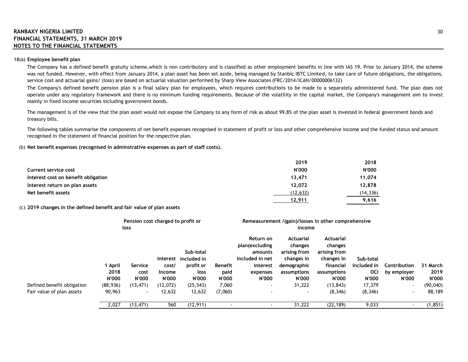#### 18(a) **Employee benefit plan**

The Company has a defined benefit gratuity scheme,which is non contributory and is classified as other employment benefits in line with IAS 19. Prior to January 2014, the scheme was not funded. However, with effect from January 2014, a plan asset has been set aside, being managed by Stanbic IBTC Limited, to take care of future obligations, the obligations, service cost and actuarial gains/ (loss) are based on actuarial valuation performed by Sharp View Associates (FRC/2014/ICAN/00000006132)

The Company's defined benefit pension plan is a final salary plan for employees, which requires contributions to be made to a separately administered fund. The plan does not operate under any regulatory framework and there is no minimum funding requirements. Because of the volatility in the capital market, the Company's management aim to invest mainly in fixed income securities including government bonds.

The management is of the view that the plan asset would not expose the Company to any form of risk as about 99.8% of the plan asset is invested in federal government bonds and treasury bills.

The following tables summarise the components of net benefit expenses recognised in statement of profit or loss and other comprehensive income and the funded status and amount recognised in the statement of financial position for the respective plan.

#### (b) **Net benefit expenses (recognised in adminstrative expenses as part of staff costs).**

|                                     | 2019         | 2018         |
|-------------------------------------|--------------|--------------|
| Current service cost                | <b>N'000</b> | <b>N'000</b> |
| Interest cost on benefit obligation | 13.471       | 11,074       |
| Interest return on plan assets      | 12.072       | 12,878       |
| Net benefit assets                  | (12,632)     | (14, 336)    |
|                                     | 12,911       | 9.616        |

#### (c) **2019 changes in the defined benefit and fair value of plan assets**

|                            |                      | Pension cost charged to profit or<br>loss |                               |                                       |                      | Remeasurement /(gain)/losses in other comprehensive<br>income         |                                                                   |                                                                 |                            |                             |                      |
|----------------------------|----------------------|-------------------------------------------|-------------------------------|---------------------------------------|----------------------|-----------------------------------------------------------------------|-------------------------------------------------------------------|-----------------------------------------------------------------|----------------------------|-----------------------------|----------------------|
|                            | 1 April              | Service                                   | Interest<br>cost/             | Sub-total<br>included in<br>profit or | Benefit              | Return on<br>plan(excluding<br>amounts<br>included in net<br>interest | Actuarial<br>changes<br>arising from<br>changes in<br>demographic | Actuarial<br>changes<br>arising from<br>changes in<br>financial | Sub-total<br>included in   | <b>Contribution</b>         | 31 March             |
|                            | 2018<br><b>N'000</b> | cost<br><b>N'000</b>                      | <b>Income</b><br><b>N'000</b> | loss<br><b>N'000</b>                  | paid<br><b>N'000</b> | expenses<br><b>N'000</b>                                              | assumptions<br><b>N'000</b>                                       | assumptions<br><b>N'000</b>                                     | <b>OCI</b><br><b>N'000</b> | by employer<br><b>N'000</b> | 2019<br><b>N'000</b> |
| Defined benefit obligation | (88,936)             | (13, 471)                                 | (12,072)                      | (25, 543)                             | 7,060                | $\overline{\phantom{0}}$                                              | 31,222                                                            | (13, 843)                                                       | 17,379                     | $\overline{\phantom{a}}$    | (90,040)             |
| Fair value of plan assets  | 90,963               | $\overline{\phantom{a}}$                  | 12,632                        | 12,632                                | (7,060)              |                                                                       | $\overline{\phantom{a}}$                                          | (8, 346)                                                        | (8, 346)                   |                             | 88,189               |
|                            | 2,027                | (13, 471)                                 | 560                           | (12, 911)                             |                      |                                                                       | 31,222                                                            | (22, 189)                                                       | 9,033                      |                             | (1, 851)             |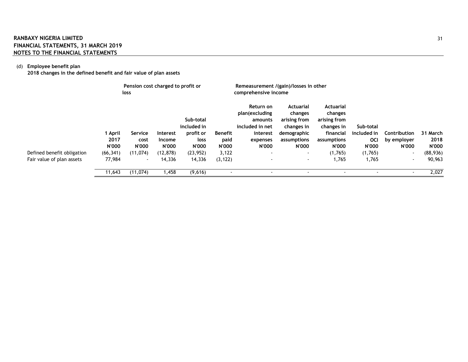## **RANBAXY NIGERIA LIMITED** 31 **FINANCIAL STATEMENTS, 31 MARCH 2019 NOTES TO THE FINANCIAL STATEMENTS**

#### (d) **Employee benefit plan**

**2018 changes in the defined benefit and fair value of plan assets**

|                            |                                 | Pension cost charged to profit or<br>loss |                                           |                                                               |                                 | Remeasurement /(gain)/losses in other<br>comprehensive income                                     |                                                                                                  |                                                                                                |                                                        |                                                    |                                  |
|----------------------------|---------------------------------|-------------------------------------------|-------------------------------------------|---------------------------------------------------------------|---------------------------------|---------------------------------------------------------------------------------------------------|--------------------------------------------------------------------------------------------------|------------------------------------------------------------------------------------------------|--------------------------------------------------------|----------------------------------------------------|----------------------------------|
|                            | l April<br>2017<br><b>N'000</b> | Service<br>cost<br><b>N'000</b>           | <b>Interest</b><br>Income<br><b>N'000</b> | Sub-total<br>included in<br>profit or<br>loss<br><b>N'000</b> | Benefit<br>paid<br><b>N'000</b> | Return on<br>plan(excluding<br>amounts<br>included in net<br>interest<br>expenses<br><b>N'000</b> | Actuarial<br>changes<br>arising from<br>changes in<br>demographic<br>assumptions<br><b>N'000</b> | Actuarial<br>changes<br>arising from<br>changes in<br>financial<br>assumptions<br><b>N'000</b> | Sub-total<br>included in<br><b>OCI</b><br><b>N'000</b> | <b>Contribution</b><br>by employer<br><b>N'000</b> | 31 March<br>2018<br><b>N'000</b> |
| Defined benefit obligation | (66, 341)                       | (11, 074)                                 | (12, 878)                                 | (23, 952)                                                     | 3,122                           |                                                                                                   | $\overline{\phantom{a}}$                                                                         | (1,765)                                                                                        | (1,765)                                                | $\overline{\phantom{a}}$                           | (88, 936)                        |
| Fair value of plan assets  | 77,984                          |                                           | 14,336                                    | 14,336                                                        | (3, 122)                        |                                                                                                   | $\overline{\phantom{a}}$                                                                         | 1,765                                                                                          | 1,765                                                  | $\overline{\phantom{a}}$                           | 90,963                           |
|                            | 11,643                          | (11, 074)                                 | 1,458                                     | (9,616)                                                       |                                 |                                                                                                   | $\overline{\phantom{a}}$                                                                         |                                                                                                |                                                        | $\overline{\phantom{a}}$                           | 2,027                            |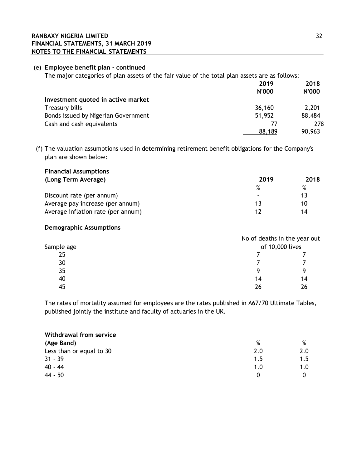## **RANBAXY NIGERIA LIMITED** 32 **FINANCIAL STATEMENTS, 31 MARCH 2019 NOTES TO THE FINANCIAL STATEMENTS**

## (e) **Employee benefit plan - continued**

The major categories of plan assets of the fair value of the total plan assets are as follows:

|                                     | 2019         | 2018         |
|-------------------------------------|--------------|--------------|
|                                     | <b>N'000</b> | <b>N'000</b> |
| Investment quoted in active market  |              |              |
| Treasury bills                      | 36,160       | 2,201        |
| Bonds issued by Nigerian Government | 51,952       | 88,484       |
| Cash and cash equivalents           | 77           | 278          |
|                                     | 88,189       | 90,963       |
|                                     |              |              |

(f) The valuation assumptions used in determining retirement benefit obligations for the Company's plan are shown below:

| <b>Financial Assumptions</b>       |      |      |
|------------------------------------|------|------|
| (Long Term Average)                | 2019 | 2018 |
|                                    | %    | %    |
| Discount rate (per annum)          |      | 13   |
| Average pay increase (per annum)   | 13   | 10   |
| Average inflation rate (per annum) | 17   | 14   |

## **Demographic Assumptions**

| of 10,000 lives |    |  |  |  |
|-----------------|----|--|--|--|
|                 |    |  |  |  |
|                 |    |  |  |  |
| Q               | Q  |  |  |  |
| 14              | 14 |  |  |  |
| 26              | 26 |  |  |  |
|                 |    |  |  |  |

The rates of mortality assumed for employees are the rates published in A67/70 Ultimate Tables, published jointly the institute and faculty of actuaries in the UK.

| %<br>%     |
|------------|
| 2.0<br>2.0 |
| 1.5<br>1.5 |
| 1.0<br>1.0 |
| $\Omega$   |
|            |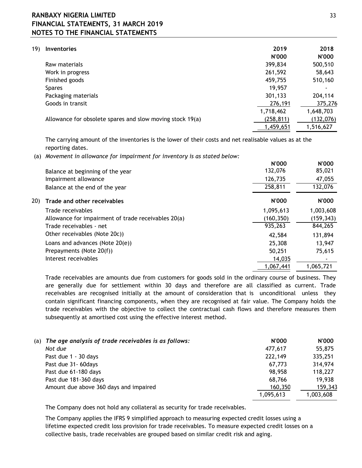# **RANBAXY NIGERIA LIMITED** 33 **FINANCIAL STATEMENTS, 31 MARCH 2019 NOTES TO THE FINANCIAL STATEMENTS**

| 19) | <b>Inventories</b>                                        | 2019       | 2018       |
|-----|-----------------------------------------------------------|------------|------------|
|     |                                                           | N'000      | N'000      |
|     | Raw materials                                             | 399,834    | 500,510    |
|     | Work in progress                                          | 261,592    | 58,643     |
|     | Finished goods                                            | 459,755    | 510,160    |
|     | <b>Spares</b>                                             | 19,957     |            |
|     | Packaging materials                                       | 301,133    | 204,114    |
|     | Goods in transit                                          | 276,191    | 375,276    |
|     |                                                           | 1,718,462  | 1,648,703  |
|     | Allowance for obsolete spares and slow moving stock 19(a) | (258, 811) | (132, 076) |
|     |                                                           | 1,459,651  | 1,516,627  |
|     |                                                           |            |            |

The carrying amount of the inventories is the lower of their costs and net realisable values as at the reporting dates.

(a) *Movement in allowance for impairment for inventory is as stated below:*

|                                                     | <b>N'000</b> | <b>N'000</b> |
|-----------------------------------------------------|--------------|--------------|
| Balance at beginning of the year                    | 132,076      | 85,021       |
| Impairment allowance                                | 126,735      | 47,055       |
| Balance at the end of the year                      | 258,811      | 132,076      |
| 20).<br>Trade and other receivables                 | <b>N'000</b> | <b>N'000</b> |
| Trade receivables                                   | 1,095,613    | 1,003,608    |
| Allowance for impairment of trade receivables 20(a) | (160, 350)   | (159, 343)   |
| Trade receivables - net                             | 935,263      | 844,265      |
| Other receivables (Note 20c))                       | 42,584       | 131,894      |
| Loans and advances (Note $20(e)$ )                  | 25,308       | 13,947       |
| Prepayments (Note 20(f))                            | 50,251       | 75,615       |
| Interest receivables                                | 14,035       |              |
|                                                     | 1,067,441    | 1,065,721    |

Trade receivables are amounts due from customers for goods sold in the ordinary course of business. They are generally due for settlement within 30 days and therefore are all classified as current. Trade receivables are recognised initially at the amount of consideration that is unconditional unless they contain significant financing components, when they are recognised at fair value. The Company holds the trade receivables with the objective to collect the contractual cash flows and therefore measures them subsequently at amortised cost using the effective interest method.

| The age analysis of trade receivables is as follows:<br>(a) | <b>N'000</b> | <b>N'000</b> |
|-------------------------------------------------------------|--------------|--------------|
| Not due                                                     | 477,617      | 55,875       |
| Past due 1 - 30 days                                        | 222,149      | 335,251      |
| Past due 31-60days                                          | 67,773       | 314,974      |
| Past due 61-180 days                                        | 98,958       | 118,227      |
| Past due 181-360 days                                       | 68,766       | 19,938       |
| Amount due above 360 days and impaired                      | 160,350      | 159,343      |
|                                                             | 1,095,613    | 1,003,608    |
|                                                             |              |              |

The Company does not hold any collateral as security for trade receivables.

The Company applies the IFRS 9 simplified approach to measuring expected credit losses using a lifetime expected credit loss provision for trade receivables. To measure expected credit losses on a collective basis, trade receivables are grouped based on similar credit risk and aging.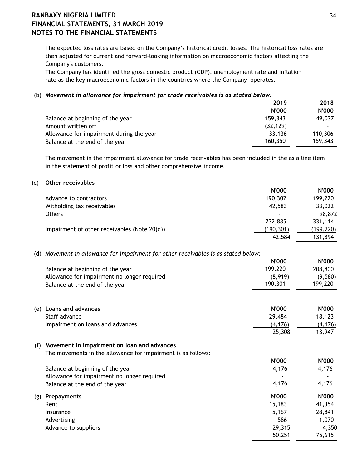The expected loss rates are based on the Company's historical credit losses. The historical loss rates are then adjusted for current and forward-looking information on macroeconomic factors affecting the Company's customers.

The Company has identified the gross domestic product (GDP), unemployment rate and inflation rate as the key macroeconomic factors in the countries where the Company operates.

## (b) *Movement in allowance for impairment for trade receivables is as stated below:*

|                                          | 2019         | 2018         |
|------------------------------------------|--------------|--------------|
|                                          | <b>N'000</b> | <b>N'000</b> |
| Balance at beginning of the year         | 159.343      | 49,037       |
| Amount written off                       | (32, 129)    | ٠            |
| Allowance for impairment during the year | 33.136       | 110,306      |
| Balance at the end of the year           | 160,350      | 159,343      |

The movement in the impairment allowance for trade receivables has been included in the as a line item in the statement of profit or loss and other comprehensive income.

### (c) **Other receivables**

|     |                                                                                    | <b>N'000</b> | <b>N'000</b> |
|-----|------------------------------------------------------------------------------------|--------------|--------------|
|     | Advance to contractors                                                             | 190,302      | 199,220      |
|     | Witholding tax receivables                                                         | 42,583       | 33,022       |
|     | <b>Others</b>                                                                      |              | 98,872       |
|     |                                                                                    | 232,885      | 331,114      |
|     | Impairment of other receivables (Note 20(d))                                       | (190, 301)   | (199, 220)   |
|     |                                                                                    | 42,584       | 131,894      |
|     | (d) Movement in allowance for impairment for other receivables is as stated below: |              |              |
|     |                                                                                    | <b>N'000</b> | N'000        |
|     | Balance at beginning of the year                                                   | 199,220      | 208,800      |
|     | Allowance for impairment no longer required                                        | (8,919)      | (9,580)      |
|     | Balance at the end of the year                                                     | 190,301      | 199,220      |
|     |                                                                                    |              |              |
| (e) | <b>Loans and advances</b>                                                          | <b>N'000</b> | N'000        |
|     | Staff advance                                                                      | 29,484       | 18,123       |
|     | Impairment on loans and advances                                                   | (4, 176)     | (4, 176)     |
|     |                                                                                    | 25,308       | 13,947       |
| (f) | Movement in impairment on loan and advances                                        |              |              |
|     | The movements in the allowance for impairment is as follows:                       |              |              |
|     |                                                                                    | <b>N'000</b> | <b>N'000</b> |
|     | Balance at beginning of the year                                                   | 4,176        | 4,176        |
|     | Allowance for impairment no longer required                                        |              |              |
|     | Balance at the end of the year                                                     | 4,176        | 4,176        |
| (g) | Prepayments                                                                        | <b>N'000</b> | <b>N'000</b> |
|     | Rent                                                                               | 15,183       | 41,354       |
|     | Insurance                                                                          | 5,167        | 28,841       |
|     | Advertising                                                                        | 586          | 1,070        |
|     | Advance to suppliers                                                               | 29,315       | 4,350        |
|     |                                                                                    | 50,251       | 75,615       |
|     |                                                                                    |              |              |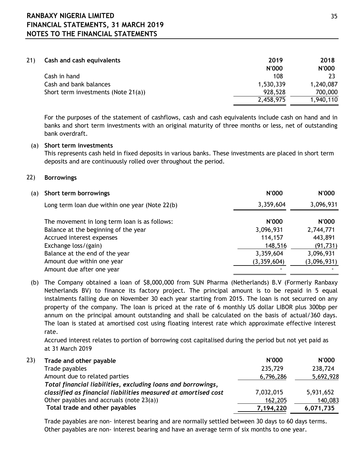# **RANBAXY NIGERIA LIMITED** 35 **FINANCIAL STATEMENTS, 31 MARCH 2019 NOTES TO THE FINANCIAL STATEMENTS**

| 21) | Cash and cash equivalents           | 2019<br><b>N'000</b> | 2018<br><b>N'000</b> |
|-----|-------------------------------------|----------------------|----------------------|
|     | Cash in hand                        | 108                  | 23                   |
|     | Cash and bank balances              | 1,530,339            | 1,240,087            |
|     | Short term investments (Note 21(a)) | 928,528              | 700,000              |
|     |                                     | 2,458,975            | 1,940,110            |

For the purposes of the statement of cashflows, cash and cash equivalents include cash on hand and in banks and short term investments with an original maturity of three months or less, net of outstanding bank overdraft.

## (a) **Short term investments**

This represents cash held in fixed deposits in various banks. These investments are placed in short term deposits and are continuously rolled over throughout the period.

## 22) **Borrowings**

| (a) | Short term borrowings                          | <b>N'000</b> | <b>N'000</b> |
|-----|------------------------------------------------|--------------|--------------|
|     | Long term loan due within one year (Note 22(b) | 3,359,604    | 3,096,931    |
|     | The movement in long term loan is as follows:  | <b>N'000</b> | <b>N'000</b> |
|     | Balance at the beginning of the year           | 3,096,931    | 2,744,771    |
|     | Accrued interest expenses                      | 114,157      | 443,891      |
|     | Exchange loss/(gain)                           | 148,516      | (91, 731)    |
|     | Balance at the end of the year                 | 3,359,604    | 3,096,931    |
|     | Amount due within one year                     | (3,359,604)  | (3,096,931)  |
|     | Amount due after one year                      |              |              |

(b) The Company obtained a loan of \$8,000,000 from SUN Pharma (Netherlands) B.V (Formerly Ranbaxy Netherlands BV) to finance its factory project. The principal amount is to be repaid in 5 equal instalments falling due on November 30 each year starting from 2015. The loan is not securred on any property of the company. The loan is priced at the rate of 6 monthly US dollar LIBOR plus 300bp per annum on the principal amount outstanding and shall be calculated on the basis of actual/360 days. The loan is stated at amortised cost using floating interest rate which approximate effective interest rate.

Accrued interest relates to portion of borrowing cost capitalised during the period but not yet paid as at 31 March 2019

| 23) | Trade and other payable                                        | <b>N'000</b> | <b>N'000</b> |
|-----|----------------------------------------------------------------|--------------|--------------|
|     | Trade payables                                                 | 235,729      | 238,724      |
|     | Amount due to related parties                                  | 6,796,286    | 5,692,928    |
|     | Total financial liabilities, excluding loans and borrowings,   |              |              |
|     | classified as financial liabilities measured at amortised cost | 7,032,015    | 5,931,652    |
|     | Other payables and accruals (note 23(a))                       | 162,205      | 140,083      |
|     | Total trade and other payables                                 | 7,194,220    | 6,071,735    |

Trade payables are non- interest bearing and are normally settled between 30 days to 60 days terms. Other payables are non- interest bearing and have an average term of six months to one year.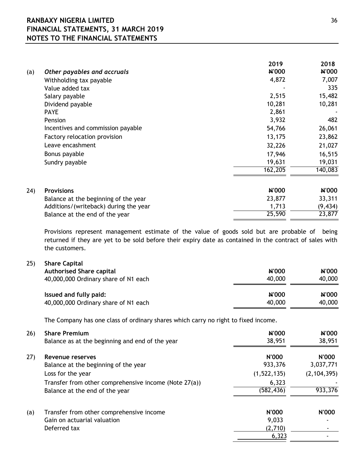# **RANBAXY NIGERIA LIMITED** 36 **FINANCIAL STATEMENTS, 31 MARCH 2019 NOTES TO THE FINANCIAL STATEMENTS**

| N'000<br>4,872 | N'000<br>7,007 |
|----------------|----------------|
|                |                |
|                |                |
|                | 335            |
| 2,515          | 15,482         |
| 10,281         | 10,281         |
| 2,861          |                |
| 3,932          | 482            |
| 54,766         | 26,061         |
| 13,175         | 23,862         |
| 32,226         | 21,027         |
| 17,946         | 16,515         |
| 19,631         | 19,031         |
| 162,205        | 140,083        |
| N'000          | N'000          |
| 23,877         | 33,311         |
| 1,713          | (9, 434)       |
| 25,590         | 23,877         |
|                |                |

Provisions represent management estimate of the value of goods sold but are probable of being returned if they are yet to be sold before their expiry date as contained in the contract of sales with the customers.

## 25) **Share Capital**

| <b>Authorised Share capital</b><br>40,000,000 Ordinary share of N1 each | <b>N'000</b><br>40.000 | <b>N'000</b><br>40,000 |
|-------------------------------------------------------------------------|------------------------|------------------------|
| Issued and fully paid:                                                  | <b>N'000</b>           | <b>N'000</b>           |
| 40,000,000 Ordinary share of N1 each                                    | 40.000                 | 40,000                 |

The Company has one class of ordinary shares which carry no right to fixed income.

| 26) | <b>Share Premium</b><br>Balance as at the beginning and end of the year                 | <b>N'000</b><br>38,951  | N'000<br>38,951           |
|-----|-----------------------------------------------------------------------------------------|-------------------------|---------------------------|
| 27) | Revenue reserves<br>Balance at the beginning of the year                                | <b>N'000</b><br>933,376 | <b>N'000</b><br>3,037,771 |
|     | Loss for the year                                                                       | (1, 522, 135)           | (2, 104, 395)             |
|     | Transfer from other comprehensive income (Note 27(a))<br>Balance at the end of the year | 6,323<br>(582, 436)     | 933,376                   |
| (a) | Transfer from other comprehensive income                                                | <b>N'000</b>            | <b>N'000</b>              |
|     | Gain on actuarial valuation                                                             | 9,033                   |                           |
|     | Deferred tax                                                                            | (2,710)                 |                           |
|     |                                                                                         | 6,323                   |                           |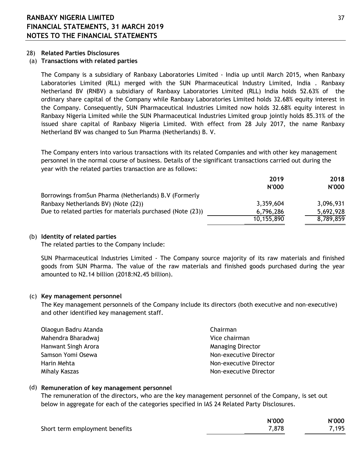## 28) **Related Parties Disclosures**

## (a) **Transactions with related parties**

The Company is a subsidiary of Ranbaxy Laboratories Limited - India up until March 2015, when Ranbaxy Laboratories Limited (RLL) merged with the SUN Pharmaceutical Industry Limited, India . Ranbaxy Netherland BV (RNBV) a subsidiary of Ranbaxy Laboratories Limited (RLL) India holds 52.63% of the ordinary share capital of the Company while Ranbaxy Laboratories Limited holds 32.68% equity interest in the Company. Consequently, SUN Pharmaceutical Industries Limited now holds 32.68% equity interest in Ranbaxy Nigeria Limited while the SUN Pharmaceutical Industries Limited group jointly holds 85.31% of the issued share capital of Ranbaxy Nigeria Limited. With effect from 28 July 2017, the name Ranbaxy Netherland BV was changed to Sun Pharma (Netherlands) B. V.

The Company enters into various transactions with its related Companies and with other key management personnel in the normal course of business. Details of the significant transactions carried out during the year with the related parties transaction are as follows:

|                                                            | 2019         | 2018         |
|------------------------------------------------------------|--------------|--------------|
|                                                            | <b>N'000</b> | <b>N'000</b> |
| Borrowings from Sun Pharma (Netherlands) B.V (Formerly     |              |              |
| Ranbaxy Netherlands BV) (Note (22))                        | 3,359,604    | 3,096,931    |
| Due to related parties for materials purchased (Note (23)) | 6,796,286    | 5,692,928    |
|                                                            | 10,155,890   | 8,789,859    |

## (b) **Identity of related parties**

The related parties to the Company include:

SUN Pharmaceutical Industries Limited - The Company source majority of its raw materials and finished goods from SUN Pharma. The value of the raw materials and finished goods purchased during the year amounted to N2.14 billion (2018:N2.45 billion).

## (c) **Key management personnel**

The Key management personnels of the Company include its directors (both executive and non-executive) and other identified key management staff.

| Olaogun Badru Atanda | Chairman                 |
|----------------------|--------------------------|
| Mahendra Bharadwaj   | Vice chairman            |
| Hanwant Singh Arora  | <b>Managing Director</b> |
| Samson Yomi Osewa    | Non-executive Director   |
| Harin Mehta          | Non-executive Director   |
| Mihaly Kaszas        | Non-executive Director   |

## (d) **Remuneration of key management personnel**

The remuneration of the directors, who are the key management personnel of the Company, is set out below in aggregate for each of the categories specified in IAS 24 Related Party Disclosures.

|                                | <b>N'000</b> | <b>N'000</b> |
|--------------------------------|--------------|--------------|
| Short term employment benefits | 7,878        | 7,195        |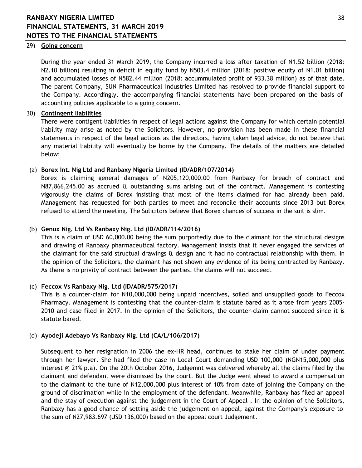# **RANBAXY NIGERIA LIMITED** 38 **FINANCIAL STATEMENTS, 31 MARCH 2019 NOTES TO THE FINANCIAL STATEMENTS**

## 29) **Going concern**

During the year ended 31 March 2019, the Company incurred a loss after taxation of N1.52 billion (2018: N2.10 billion) resulting in deficit in equity fund by N503.4 million (2018: positive equity of N1.01 billion) and accumulated losses of N582.44 million (2018: accummulated profit of 933.38 miilion) as of that date. The parent Company, SUN Pharmaceutical Industries Limited has resolved to provide financial support to the Company. Accordingly, the accompanying financial statements have been prepared on the basis of accounting policies applicable to a going concern.

## 30) **Contingent liabilities**

There were contigent liabilities in respect of legal actions against the Company for which certain potential liability may arise as noted by the Solicitors. However, no provision has been made in these financial statements in respect of the legal actions as the directors, having taken legal advice, do not believe that any material liability will eventually be borne by the Company. The details of the matters are detailed below:

## (a) **Borex Int. Nig Ltd and Ranbaxy Nigeria Limited (ID/ADR/107/2014)**

Borex is claiming general damages of N205,120,000.00 from Ranbaxy for breach of contract and N87,866,245.00 as accrued & outstanding sums arising out of the contract. Management is contesting vigorously the claims of Borex insisting that most of the items claimed for had already been paid. Management has requested for both parties to meet and reconcile their accounts since 2013 but Borex refused to attend the meeting. The Solicitors believe that Borex chances of success in the suit is slim.

## (b) **Genux Nig. Ltd Vs Ranbaxy Nig. Ltd (ID/ADR/114/2016)**

This is a claim of USD 60,000.00 being the sum purportedly due to the claimant for the structural designs and drawing of Ranbaxy pharmaceutical factory. Management insists that it never engaged the services of the claimant for the said structual drawings & design and it had no contractual relationship with them. In the opinion of the Solicitors, the claimant has not shown any evidence of its being contracted by Ranbaxy. As there is no privity of contract between the parties, the claims will not succeed.

## (c) **Feccox Vs Ranbaxy Nig. Ltd (ID/ADR/575/2017)**

This is a counter-claim for N10,000,000 being unpaid incentives, soiled and unsupplied goods to Feccox Pharmacy. Management is contesting that the counter-claim is statute bared as it arose from years 2005- 2010 and case filed in 2017. In the opinion of the Solicitors, the counter-claim cannot succeed since it is statute bared.

## (d) **Ayodeji Adebayo Vs Ranbaxy Nig. Ltd (CA/L/106/2017)**

Subsequent to her resignation in 2006 the ex-HR head, continues to stake her claim of under payment through her lawyer. She had filed the case in Local Court demanding USD 100,000 (NGN15,000,000 plus interest @ 21% p.a). On the 20th October 2016, Judgemnt was delivered whereby all the claims filed by the claimant and defendant were dismissed by the court. But the Judge went ahead to award a compensation to the claimant to the tune of N12,000,000 plus interest of 10% from date of joining the Company on the ground of discrimation while in the employment of the defendant. Meanwhile, Ranbaxy has filed an appeal and the stay of execution against the judgement in the Court of Appeal . In the opinion of the Solicitors, Ranbaxy has a good chance of setting aside the judgement on appeal, against the Company's exposure to the sum of N27,983.697 (USD 136,000) based on the appeal court Judgement.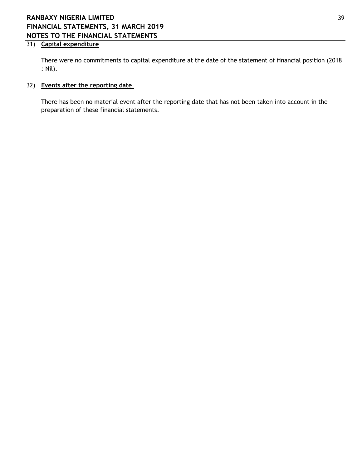# **RANBAXY NIGERIA LIMITED** 39 **FINANCIAL STATEMENTS, 31 MARCH 2019 NOTES TO THE FINANCIAL STATEMENTS**

# 31) **Capital expenditure**

There were no commitments to capital expenditure at the date of the statement of financial position (2018 : Nil).

## 32) **Events after the reporting date**

There has been no material event after the reporting date that has not been taken into account in the preparation of these financial statements.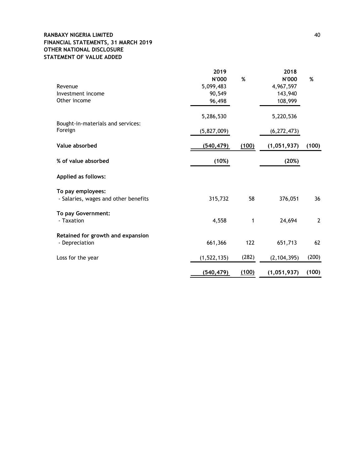## **RANBAXY NIGERIA LIMITED** 40 **FINANCIAL STATEMENTS, 31 MARCH 2019 OTHER NATIONAL DISCLOSURE STATEMENT OF VALUE ADDED**

|                                      | 2019<br>N'000 | $\%$  | 2018<br>N'000 | %              |
|--------------------------------------|---------------|-------|---------------|----------------|
| Revenue                              | 5,099,483     |       | 4,967,597     |                |
| Investment income                    | 90,549        |       | 143,940       |                |
| Other income                         | 96,498        |       | 108,999       |                |
| Bought-in-materials and services:    | 5,286,530     |       | 5,220,536     |                |
| Foreign                              | (5,827,009)   |       | (6, 272, 473) |                |
| Value absorbed                       | (540, 479)    | (100) | (1,051,937)   | (100)          |
| % of value absorbed                  | (10%)         |       | (20%)         |                |
| Applied as follows:                  |               |       |               |                |
| To pay employees:                    |               |       |               |                |
| - Salaries, wages and other benefits | 315,732       | 58    | 376,051       | 36             |
| To pay Government:                   |               |       |               |                |
| - Taxation                           | 4,558         | 1     | 24,694        | $\overline{2}$ |
| Retained for growth and expansion    |               |       |               |                |
| - Depreciation                       | 661,366       | 122   | 651,713       | 62             |
| Loss for the year                    | (1, 522, 135) | (282) | (2, 104, 395) | (200)          |
|                                      | (540, 479)    | (100) | (1,051,937)   | (100)          |